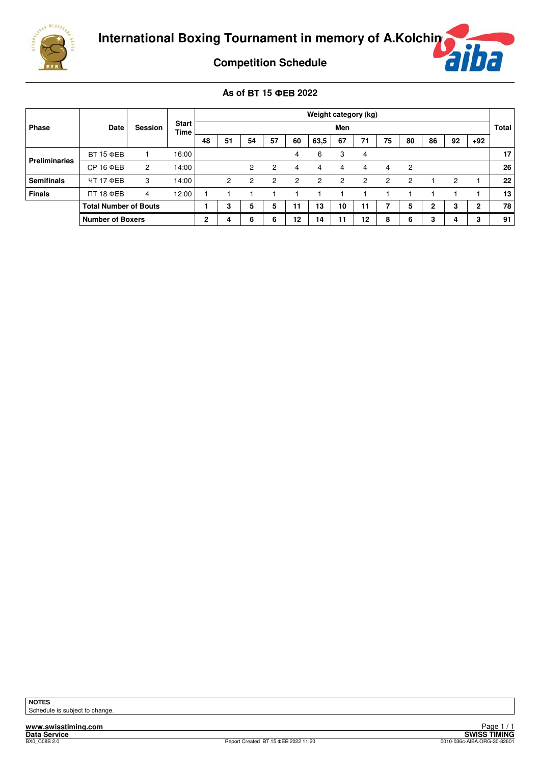



**Competition Schedule**

**As of** - **15 2022**

|                      |                              |                |                             |              |                |                |                |                | Weight category (kg) |                |    |                |                |    |                |       |              |
|----------------------|------------------------------|----------------|-----------------------------|--------------|----------------|----------------|----------------|----------------|----------------------|----------------|----|----------------|----------------|----|----------------|-------|--------------|
| <b>Phase</b>         | Date                         | <b>Session</b> | <b>Start</b><br><b>Time</b> |              |                |                |                |                |                      | Men            |    |                |                |    |                |       | <b>Total</b> |
|                      |                              |                |                             | 48           | 51             | 54             | 57             | 60             | 63,5                 | 67             | 71 | 75             | 80             | 86 | 92             | $+92$ |              |
| <b>Preliminaries</b> | <b>BT 15 ФEB</b>             |                | 16:00                       |              |                |                |                | 4              | 6                    | 3              | 4  |                |                |    |                |       | 17           |
|                      | $CP$ 16 $\Phi$ EB            | 2              | 14:00                       |              |                | $\overline{c}$ | 2              | 4              | 4                    | 4              | 4  | 4              | 2              |    |                |       | 26           |
| <b>Semifinals</b>    | ЧТ 17 ФЕВ                    | 3              | 14:00                       |              | $\overline{c}$ | 2              | $\overline{2}$ | $\overline{2}$ | 2                    | $\overline{2}$ | 2  | $\overline{2}$ | $\overline{2}$ |    | $\overline{2}$ |       | 22           |
| <b>Finals</b>        | $\Pi$ 18 ФEB                 | 4              | 12:00                       |              |                |                |                |                |                      |                |    |                |                |    |                |       | 13           |
|                      | <b>Total Number of Bouts</b> |                |                             |              | 3              | 5              | 5              | 11             | 13                   | 10             | 11 |                | 5              | 2  | 3              | 2     | 78           |
|                      | <b>Number of Boxers</b>      |                |                             | $\mathbf{2}$ | 4              | 6              | 6              | 12             | 14                   | 11             | 12 | 8              | 6              | 3  | 4              | 3     | 91           |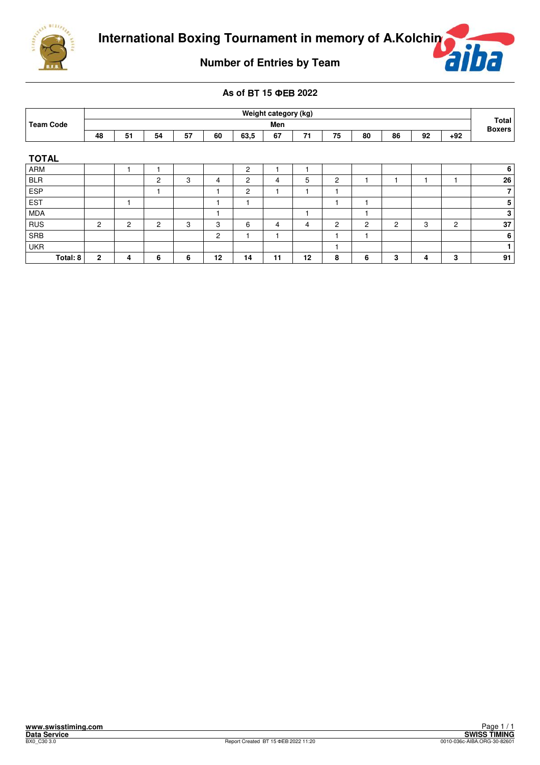



**Number of Entries by Team**

## **As of** - **15 2022**

|                  |                |                |                |    |                |                | Weight category (kg) |    |                |                |    |    |                |                        |  |
|------------------|----------------|----------------|----------------|----|----------------|----------------|----------------------|----|----------------|----------------|----|----|----------------|------------------------|--|
| <b>Team Code</b> |                |                |                |    |                |                | Men                  |    |                |                |    |    |                | Total<br><b>Boxers</b> |  |
|                  | 48             | 51             | 54             | 57 | 60             | 63,5           | 67                   | 71 | 75             | 80             | 86 | 92 | $+92$          |                        |  |
| <b>TOTAL</b>     |                |                |                |    |                |                |                      |    |                |                |    |    |                |                        |  |
| ARM              |                |                |                |    |                | 2              |                      |    |                |                |    |    |                | 6                      |  |
| <b>BLR</b>       |                |                | $\overline{2}$ | 3  | 4              | $\overline{c}$ | 4                    | 5  | 2              |                |    |    |                | 26                     |  |
| <b>ESP</b>       |                |                |                |    |                | $\overline{c}$ |                      |    | ٠              |                |    |    |                | $\overline{7}$         |  |
| EST              |                | ٠              |                |    |                |                |                      |    | ٠              |                |    |    |                | $\sqrt{5}$             |  |
| MDA              |                |                |                |    |                |                |                      |    |                |                |    |    |                | 3                      |  |
| $ $ RUS          | $\overline{2}$ | $\overline{c}$ | $\overline{2}$ | 3  | 3              | 6              | 4                    | 4  | $\overline{2}$ | $\overline{c}$ | 2  | 3  | $\overline{2}$ | 37                     |  |
| SRB              |                |                |                |    | $\overline{c}$ |                |                      |    | ٠              |                |    |    |                | 6                      |  |
| <b>UKR</b>       |                |                |                |    |                |                |                      |    |                |                |    |    |                | 1                      |  |
| Total: 8         | $\mathbf{2}$   | 4              | 6              | 6  | 12             | 14             | 11                   | 12 | 8              | 6              | 3  | 4  | 3              | 91                     |  |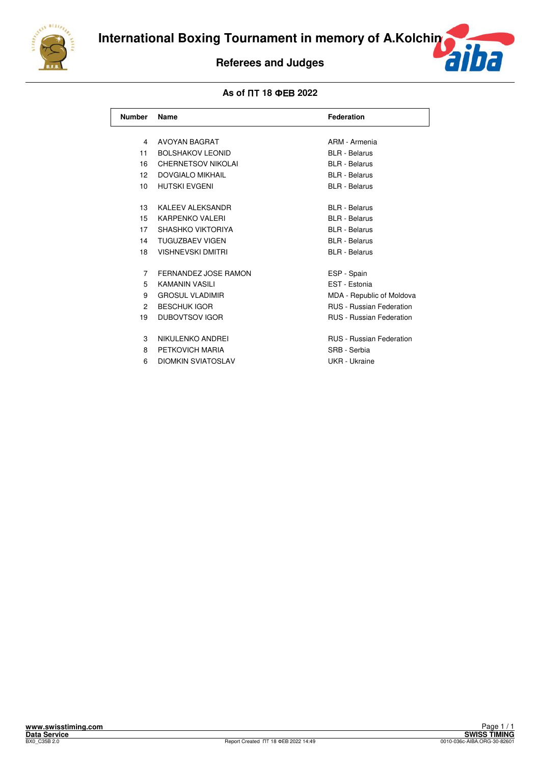

# **Referees and Judges**



| <b>Number</b>   | Name                      | <b>Federation</b>               |
|-----------------|---------------------------|---------------------------------|
| 4               | <b>AVOYAN BAGRAT</b>      | ARM - Armenia                   |
| 11              | <b>BOLSHAKOV LEONID</b>   | <b>BLR</b> - Belarus            |
| 16              | <b>CHERNETSOV NIKOLAI</b> | <b>BLR</b> - Belarus            |
| 12              | <b>DOVGIALO MIKHAIL</b>   | <b>BLR</b> - Belarus            |
| 10 <sup>1</sup> | <b>HUTSKI EVGENI</b>      | <b>BLR</b> - Belarus            |
| 13              | <b>KALEEV ALEKSANDR</b>   | <b>BLR</b> - Belarus            |
| 15              | KARPFNKO VALERI           | <b>BLR</b> - Belarus            |
| 17              | SHASHKO VIKTORIYA         | <b>BLR</b> - Belarus            |
| 14              | <b>TUGUZBAEV VIGEN</b>    | <b>BLR</b> - Belarus            |
| 18              | <b>VISHNEVSKI DMITRI</b>  | <b>BLR</b> - Belarus            |
| $\overline{7}$  | FERNANDEZ JOSE RAMON      | ESP - Spain                     |
| 5               | <b>KAMANIN VASILI</b>     | EST - Estonia                   |
| 9               | <b>GROSUL VLADIMIR</b>    | MDA - Republic of Moldova       |
| $\mathcal{P}$   | <b>BESCHUK IGOR</b>       | <b>RUS</b> - Russian Federation |
| 19              | <b>DUBOVTSOV IGOR</b>     | <b>RUS</b> - Russian Federation |
| 3               | NIKULENKO ANDREI          | <b>RUS</b> - Russian Federation |
| 8               | PETKOVICH MARIA           | SRB - Serbia                    |
| 6               | <b>DIOMKIN SVIATOSLAV</b> | UKR - Ukraine                   |
|                 |                           |                                 |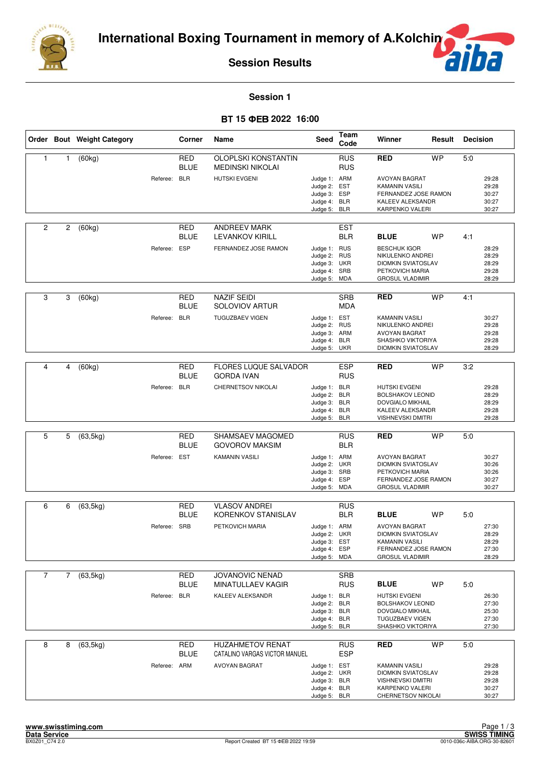

 $\overline{f}$ F

### **Session 1**

## **15 2022 16:00**

|                |   | Order Bout Weight Category |              | Corner                    | Name                                                     | Seed                                                                         | Team<br>Code             | Winner                                                                                                                       | Result    | <b>Decision</b> |                                           |
|----------------|---|----------------------------|--------------|---------------------------|----------------------------------------------------------|------------------------------------------------------------------------------|--------------------------|------------------------------------------------------------------------------------------------------------------------------|-----------|-----------------|-------------------------------------------|
| $\mathbf{1}$   | 1 | (60kg)                     |              | <b>RED</b><br><b>BLUE</b> | OLOPLSKI KONSTANTIN<br><b>MEDINSKI NIKOLAI</b>           |                                                                              | <b>RUS</b><br><b>RUS</b> | RED                                                                                                                          | <b>WP</b> | 5.0             |                                           |
|                |   |                            | Referee: BLR |                           | <b>HUTSKI EVGENI</b>                                     | Judge 1: ARM<br>Judge 2: EST<br>Judge 3: ESP<br>Judge 4: BLR<br>Judge 5:     | BLR                      | <b>AVOYAN BAGRAT</b><br><b>KAMANIN VASILI</b><br>FERNANDEZ JOSE RAMON<br>KALEEV ALEKSANDR<br>KARPENKO VALERI                 |           |                 | 29:28<br>29:28<br>30:27<br>30:27<br>30:27 |
| 2              | 2 | (60kg)                     |              | <b>RED</b><br><b>BLUE</b> | ANDREEV MARK<br><b>LEVANKOV KIRILL</b>                   |                                                                              | <b>EST</b><br><b>BLR</b> | <b>BLUE</b>                                                                                                                  | <b>WP</b> | 4:1             |                                           |
|                |   |                            | Referee: ESP |                           | FERNANDEZ JOSE RAMON                                     | Judge 1: RUS<br>Judge 2:<br>Judge 3: UKR<br>Judge 4: SRB<br>Judge 5: MDA     | <b>RUS</b>               | <b>BESCHUK IGOR</b><br>NIKULENKO ANDREI<br><b>DIOMKIN SVIATOSLAV</b><br>PETKOVICH MARIA<br><b>GROSUL VLADIMIR</b>            |           |                 | 28:29<br>28:29<br>28:29<br>29:28<br>28:29 |
| 3              | 3 | (60kg)                     |              | RED<br><b>BLUE</b>        | <b>NAZIF SEIDI</b><br><b>SOLOVIOV ARTUR</b>              |                                                                              | <b>SRB</b><br><b>MDA</b> | <b>RED</b>                                                                                                                   | <b>WP</b> | 4:1             |                                           |
|                |   |                            | Referee:     | <b>BLR</b>                | <b>TUGUZBAEV VIGEN</b>                                   | Judge 1: EST<br>Judge 2:<br>Judge 3: ARM<br>Judge 4:<br>Judge 5: UKR         | <b>RUS</b><br><b>BLR</b> | <b>KAMANIN VASILI</b><br>NIKULENKO ANDREI<br><b>AVOYAN BAGRAT</b><br>SHASHKO VIKTORIYA<br><b>DIOMKIN SVIATOSLAV</b>          |           |                 | 30:27<br>29:28<br>29:28<br>29:28<br>28:29 |
|                |   |                            |              |                           |                                                          |                                                                              |                          |                                                                                                                              |           |                 |                                           |
| 4              | 4 | (60kg)                     |              | <b>RED</b><br><b>BLUE</b> | <b>FLORES LUQUE SALVADOR</b><br><b>GORDA IVAN</b>        |                                                                              | <b>ESP</b><br><b>RUS</b> | <b>RED</b>                                                                                                                   | <b>WP</b> | 3:2             |                                           |
|                |   |                            | Referee: BLR |                           | CHERNETSOV NIKOLAI                                       | Judge 1: BLR<br>Judge 2:<br>Judge 3: BLR<br>Judge 4: BLR<br>Judge 5:         | <b>BLR</b><br><b>BLR</b> | <b>HUTSKI EVGENI</b><br><b>BOLSHAKOV LEONID</b><br>DOVGIALO MIKHAIL<br>KALEEV ALEKSANDR<br><b>VISHNEVSKI DMITRI</b>          |           |                 | 29:28<br>28:29<br>28:29<br>29:28<br>29:28 |
|                |   |                            |              |                           |                                                          |                                                                              |                          |                                                                                                                              |           |                 |                                           |
| 5              | 5 | (63, 5kg)                  |              | <b>RED</b><br><b>BLUE</b> | SHAMSAEV MAGOMED<br><b>GOVOROV MAKSIM</b>                |                                                                              | <b>RUS</b><br><b>BLR</b> | RED                                                                                                                          | <b>WP</b> | 5:0             |                                           |
|                |   |                            | Referee: EST |                           | <b>KAMANIN VASILI</b>                                    | Judge 1: ARM<br>Judge 2: UKR<br>Judge 3: SRB<br>Judge 4: ESP<br>Judge 5:     | <b>MDA</b>               | AVOYAN BAGRAT<br><b>DIOMKIN SVIATOSLAV</b><br>PETKOVICH MARIA<br>FERNANDEZ JOSE RAMON<br><b>GROSUL VLADIMIR</b>              |           |                 | 30:27<br>30:26<br>30:26<br>30:27<br>30:27 |
| 6              | 6 | (63, 5kg)                  |              | RED                       | <b>VLASOV ANDREI</b>                                     |                                                                              | <b>RUS</b>               |                                                                                                                              |           |                 |                                           |
|                |   |                            |              | <b>BLUE</b>               | <b>KORENKOV STANISLAV</b>                                |                                                                              | <b>BLR</b>               | <b>BLUE</b>                                                                                                                  | <b>WP</b> | 5:0             |                                           |
|                |   |                            | Referee: SRB |                           | PETKOVICH MARIA                                          | Judge 1: ARM<br>Judge 2:<br>Judge 3: EST<br>Judge 4: ESP<br>Judge 5: MDA     | UKR                      | <b>AVOYAN BAGRAT</b><br><b>DIOMKIN SVIATOSLAV</b><br><b>KAMANIN VASILI</b><br>FERNANDEZ JOSE RAMON<br><b>GROSUL VLADIMIR</b> |           |                 | 27:30<br>28:29<br>28:29<br>27:30<br>28:29 |
| $\overline{7}$ | 7 | (63, 5kg)                  |              | RED                       | JOVANOVIC NENAD                                          |                                                                              | <b>SRB</b>               |                                                                                                                              |           |                 |                                           |
|                |   |                            |              | <b>BLUE</b>               | MINATULLAEV KAGIR                                        |                                                                              | <b>RUS</b>               | <b>BLUE</b>                                                                                                                  | <b>WP</b> | 5:0             |                                           |
|                |   |                            | Referee: BLR |                           | KALEEV ALEKSANDR                                         | Judge 1: BLR<br>Judge 2: BLR<br>Judge 3: BLR<br>Judge 4: BLR<br>Judge 5: BLR |                          | <b>HUTSKI EVGENI</b><br><b>BOLSHAKOV LEONID</b><br>DOVGIALO MIKHAIL<br>TUGUZBAEV VIGEN<br>SHASHKO VIKTORIYA                  |           |                 | 26:30<br>27:30<br>25:30<br>27:30<br>27:30 |
| 8              | 8 | (63, 5kg)                  |              | <b>RED</b><br><b>BLUE</b> | <b>HUZAHMETOV RENAT</b><br>CATALINO VARGAS VICTOR MANUEL |                                                                              | <b>RUS</b><br><b>ESP</b> | RED                                                                                                                          | <b>WP</b> | 5:0             |                                           |
|                |   |                            | Referee: ARM |                           | AVOYAN BAGRAT                                            | Judge 1: EST<br>Judge 2: UKR<br>Judge 3: BLR<br>Judge 4: BLR<br>Judge 5: BLR |                          | KAMANIN VASILI<br><b>DIOMKIN SVIATOSLAV</b><br><b>VISHNEVSKI DMITRI</b><br>KARPENKO VALERI<br>CHERNETSOV NIKOLAI             |           |                 | 29:28<br>29:28<br>29:28<br>30:27<br>30:27 |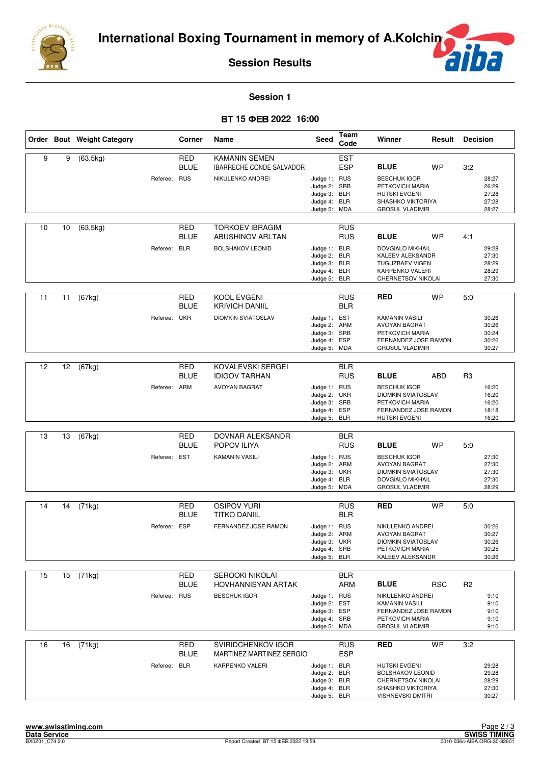



**Session 1**

### **15 2022 16:00**

|    |    | Order Bout Weight Category |              | Corner                    | Name                                                                         | Seed                                                                         | <b>Team</b><br>Code                                  | Winner                                                                                                                         | Result     | <b>Decision</b> |                                           |
|----|----|----------------------------|--------------|---------------------------|------------------------------------------------------------------------------|------------------------------------------------------------------------------|------------------------------------------------------|--------------------------------------------------------------------------------------------------------------------------------|------------|-----------------|-------------------------------------------|
| 9  | 9  | (63, 5kg)                  | Referee: RUS | <b>RED</b><br><b>BLUE</b> | <b>KAMANIN SEMEN</b><br>IBARRECHE CONDE SALVADOR<br>NIKULENKO ANDREI         | Judge 1: RUS<br>Judge 2: SRB<br>Judge 3: BLR<br>Judge 4: BLR<br>Judge 5:     | <b>EST</b><br><b>ESP</b><br><b>MDA</b>               | <b>BLUE</b><br><b>BESCHUK IGOR</b><br>PETKOVICH MARIA<br><b>HUTSKI EVGENI</b><br>SHASHKO VIKTORIYA<br><b>GROSUL VLADIMIR</b>   | <b>WP</b>  | 3:2             | 28:27<br>26:29<br>27:28<br>27:28<br>28:27 |
| 10 | 10 | (63, 5kg)                  | Referee: BLR | RED<br><b>BLUE</b>        | <b>TORKOEV IBRAGIM</b><br><b>ABUSHINOV ARLTAN</b><br><b>BOLSHAKOV LEONID</b> | Judge 1: BLR<br>Judge 2:<br>Judge 3: BLR<br>Judge 4: BLR<br>Judge 5: BLR     | <b>RUS</b><br><b>RUS</b><br><b>BLR</b>               | <b>BLUE</b><br><b>DOVGIALO MIKHAIL</b><br>KALEEV ALEKSANDR<br>TUGUZBAEV VIGEN<br>KARPENKO VALERI<br>CHERNETSOV NIKOLAI         | <b>WP</b>  | 4:1             | 29:28<br>27:30<br>28:29<br>28:29<br>27:30 |
| 11 | 11 | (67kg)                     | Referee: UKR | RED<br><b>BLUE</b>        | KOOL EVGENI<br><b>KRIVICH DANIIL</b><br><b>DIOMKIN SVIATOSLAV</b>            | Judge 1: EST<br>Judge 2: ARM<br>Judge 3: SRB<br>Judge 4:<br>Judge 5:         | <b>RUS</b><br><b>BLR</b><br>ESP<br><b>MDA</b>        | <b>RED</b><br>KAMANIN VASILI<br>AVOYAN BAGRAT<br>PETKOVICH MARIA<br>FERNANDEZ JOSE RAMON<br><b>GROSUL VLADIMIR</b>             | <b>WP</b>  | 5:0             | 30:26<br>30:26<br>30:24<br>30:26<br>30:27 |
| 12 | 12 | (67kg)                     | Referee: ARM | <b>RED</b><br><b>BLUE</b> | KOVALEVSKI SERGEI<br><b>IDIGOV TARHAN</b><br><b>AVOYAN BAGRAT</b>            | Judge 1: RUS<br>Judge 2:<br>Judge 3: SRB<br>Judge 4: ESP<br>Judge 5:         | <b>BLR</b><br><b>RUS</b><br><b>UKR</b><br><b>BLR</b> | <b>BLUE</b><br><b>BESCHUK IGOR</b><br><b>DIOMKIN SVIATOSLAV</b><br>PETKOVICH MARIA<br>FERNANDEZ JOSE RAMON<br>HUTSKI EVGENI    | ABD        | R <sub>3</sub>  | 16:20<br>16:20<br>16:20<br>18:18<br>16:20 |
| 13 | 13 | (67kg)                     | Referee: EST | <b>RED</b><br><b>BLUE</b> | DOVNAR ALEKSANDR<br>POPOV ILIYA<br><b>KAMANIN VASILI</b>                     | Judge 1: RUS<br>Judge 2: ARM<br>Judge 3:<br>Judge 4: BLR<br>Judge 5:         | <b>BLR</b><br><b>RUS</b><br>UKR<br><b>MDA</b>        | <b>BLUE</b><br><b>BESCHUK IGOR</b><br>AVOYAN BAGRAT<br><b>DIOMKIN SVIATOSLAV</b><br>DOVGIALO MIKHAIL<br><b>GROSUL VLADIMIR</b> | <b>WP</b>  | 5:0             | 27:30<br>27:30<br>27:30<br>27:30<br>28:29 |
| 14 | 14 | (71kg)                     | Referee: ESP | <b>RED</b><br><b>BLUE</b> | <b>OSIPOV YURI</b><br><b>TITKO DANIIL</b><br>FERNANDEZ JOSE RAMON            | Judge 1: RUS<br>Judge 2: ARM<br>Judge 3: UKR<br>Judge 4: SRB<br>Judge 5: BLR | <b>RUS</b><br><b>BLR</b>                             | <b>RED</b><br>NIKULENKO ANDREI<br>AVOYAN BAGRAT<br><b>DIOMKIN SVIATOSLAV</b><br>PETKOVICH MARIA<br>KALEEV ALEKSANDR            | <b>WP</b>  | 5:0             | 30:26<br>30:27<br>30:26<br>30:25<br>30:26 |
| 15 | 15 | (71kg)                     | Referee: RUS | RED<br><b>BLUE</b>        | SEROOKI NIKOLAI<br>HOVHANNISYAN ARTAK<br><b>BESCHUK IGOR</b>                 | Judge 1: RUS<br>Judge 2:<br>Judge 3: ESP<br>Judge 4: SRB<br>Judge 5: MDA     | <b>BLR</b><br><b>ARM</b><br><b>EST</b>               | <b>BLUE</b><br>NIKULENKO ANDREI<br><b>KAMANIN VASILI</b><br>FERNANDEZ JOSE RAMON<br>PETKOVICH MARIA<br><b>GROSUL VLADIMIR</b>  | <b>RSC</b> | R <sub>2</sub>  | 9:10<br>9:10<br>9:10<br>9:10<br>9:10      |
| 16 | 16 | (71kg)                     | Referee: BLR | <b>RED</b><br><b>BLUE</b> | SVIRIDCHENKOV IGOR<br>MARTINEZ MARTINEZ SERGIO<br>KARPENKO VALERI            | Judge 1: BLR<br>Judge 2: BLR<br>Judge 3: BLR<br>Judge 4: BLR<br>Judge 5: BLR | <b>RUS</b><br><b>ESP</b>                             | <b>RED</b><br><b>HUTSKI EVGENI</b><br><b>BOLSHAKOV LEONID</b><br>CHERNETSOV NIKOLAI<br>SHASHKO VIKTORIYA<br>VISHNEVSKI DMITRI  | <b>WP</b>  | 3:2             | 29:28<br>29:28<br>28:29<br>27:30<br>30:27 |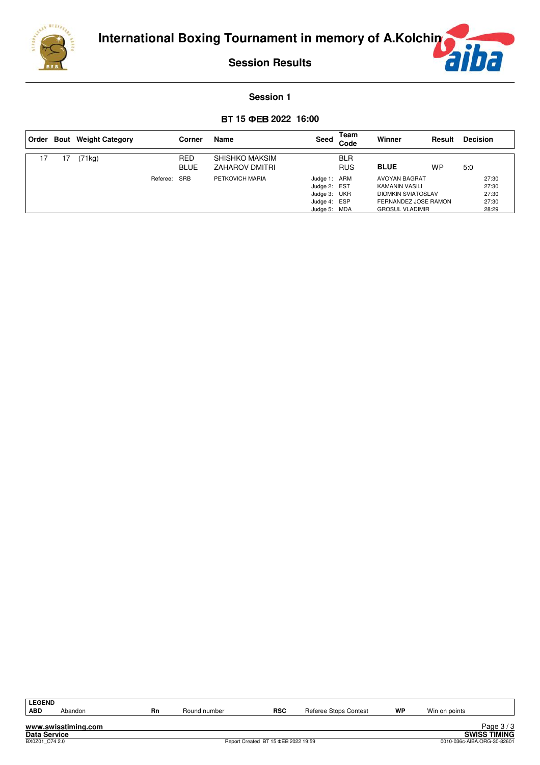

**ha** É

#### **Session 1**

## **15 2022 16:00**

| Order |    | <b>Bout</b> Weight Category |          | Corner                    | Name                                           | Seed                                                                         | Team<br>Code             | Winner                                                                                                                | Result | <b>Decision</b>                           |
|-------|----|-----------------------------|----------|---------------------------|------------------------------------------------|------------------------------------------------------------------------------|--------------------------|-----------------------------------------------------------------------------------------------------------------------|--------|-------------------------------------------|
| 17    | 17 | 71kg)                       |          | <b>RED</b><br><b>BLUE</b> | <b>SHISHKO MAKSIM</b><br><b>ZAHAROV DMITRI</b> |                                                                              | <b>BLR</b><br><b>RUS</b> | <b>BLUE</b>                                                                                                           | WP     | 5:0                                       |
|       |    |                             | Referee: | SRB                       | PETKOVICH MARIA                                | Judge 1: ARM<br>Judge 2: EST<br>Judge 3: UKR<br>Judge 4: ESP<br>Judge 5: MDA |                          | AVOYAN BAGRAT<br><b>KAMANIN VASILI</b><br><b>DIOMKIN SVIATOSLAV</b><br>FERNANDEZ JOSE RAMON<br><b>GROSUL VLADIMIR</b> |        | 27:30<br>27:30<br>27:30<br>27:30<br>28:29 |

| LEGEND              |                     |    |              |                                     |                       |    |               |                             |
|---------------------|---------------------|----|--------------|-------------------------------------|-----------------------|----|---------------|-----------------------------|
| ∣ ABD               | Abandon             | Rn | Round number | <b>RSC</b>                          | Referee Stops Contest | WP | Win on points |                             |
|                     |                     |    |              |                                     |                       |    |               |                             |
|                     | www.swisstiming.com |    |              |                                     |                       |    |               | Page $3/3$                  |
| <b>Data Service</b> |                     |    |              |                                     |                       |    |               | <b>SWISS TIMING</b>         |
| BX0Z01 C74 2.0      |                     |    |              | Report Created BT 15 ΦEB 2022 19:59 |                       |    |               | 0010-036c-AIBA.ORG-30-82601 |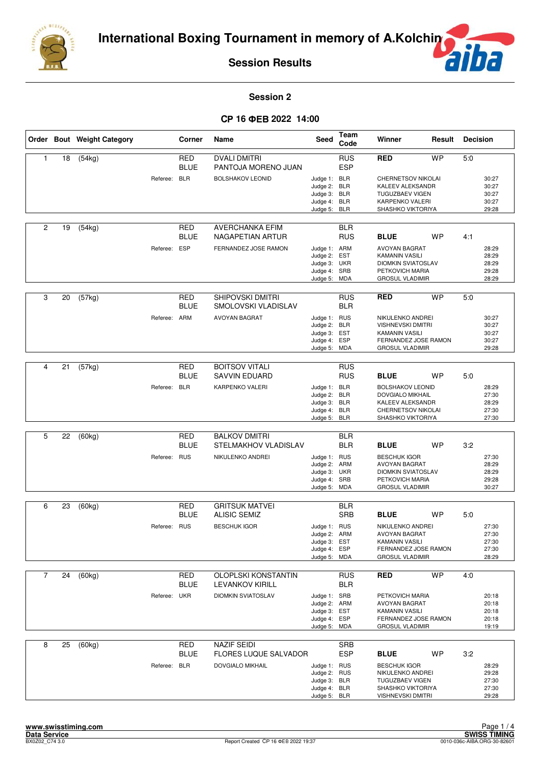



### **Session 2**

## CP 16  $\Phi$ EB 2022 14:00

|                |    | Order Bout Weight Category |              | Corner                    | Name                                                 | Seed                                                                         | Team<br>Code             | Winner                                                                                                                  | Result    | <b>Decision</b> |                                           |
|----------------|----|----------------------------|--------------|---------------------------|------------------------------------------------------|------------------------------------------------------------------------------|--------------------------|-------------------------------------------------------------------------------------------------------------------------|-----------|-----------------|-------------------------------------------|
| $\mathbf{1}$   | 18 | (54kg)                     |              | <b>RED</b><br><b>BLUE</b> | <b>DVALI DMITRI</b><br>PANTOJA MORENO JUAN           |                                                                              | <b>RUS</b><br><b>ESP</b> | <b>RED</b>                                                                                                              | <b>WP</b> | 5:0             |                                           |
|                |    |                            | Referee: BLR |                           | <b>BOLSHAKOV LEONID</b>                              | Judge 1: BLR<br>Judge 2: BLR<br>Judge 3: BLR<br>Judge 4: BLR<br>Judge 5: BLR |                          | CHERNETSOV NIKOLAI<br>KALEEV ALEKSANDR<br><b>TUGUZBAEV VIGEN</b><br>KARPENKO VALERI<br>SHASHKO VIKTORIYA                |           |                 | 30:27<br>30:27<br>30:27<br>30:27<br>29:28 |
| $\overline{2}$ | 19 | (54kg)                     |              | RED<br><b>BLUE</b>        | <b>AVERCHANKA EFIM</b><br>NAGAPETIAN ARTUR           |                                                                              | <b>BLR</b><br><b>RUS</b> | <b>BLUE</b>                                                                                                             | <b>WP</b> | 4:1             |                                           |
|                |    |                            | Referee: ESP |                           | FERNANDEZ JOSE RAMON                                 | Judge 1: ARM<br>Judge 2:<br>Judge 3: UKR<br>Judge 4: SRB<br>Judge 5: MDA     | EST                      | <b>AVOYAN BAGRAT</b><br>KAMANIN VASILI<br><b>DIOMKIN SVIATOSLAV</b><br>PETKOVICH MARIA<br><b>GROSUL VLADIMIR</b>        |           |                 | 28:29<br>28:29<br>28:29<br>29:28<br>28:29 |
| 3              | 20 | (57kg)                     |              | <b>RED</b><br><b>BLUE</b> | <b>SHIPOVSKI DMITRI</b><br>SMOLOVSKI VLADISLAV       |                                                                              | <b>RUS</b><br><b>BLR</b> | <b>RED</b>                                                                                                              | <b>WP</b> | 5:0             |                                           |
|                |    |                            | Referee: ARM |                           | <b>AVOYAN BAGRAT</b>                                 | Judge 1: RUS<br>Judge 2: BLR<br>Judge 3: EST<br>Judge 4: ESP<br>Judge 5: MDA |                          | NIKULENKO ANDREI<br><b>VISHNEVSKI DMITRI</b><br><b>KAMANIN VASILI</b><br>FERNANDEZ JOSE RAMON<br><b>GROSUL VLADIMIR</b> |           |                 | 30:27<br>30:27<br>30:27<br>30:27<br>29:28 |
|                |    |                            |              |                           |                                                      |                                                                              |                          |                                                                                                                         |           |                 |                                           |
| 4              | 21 | (57kg)                     |              | <b>RED</b><br><b>BLUE</b> | <b>BOITSOV VITALI</b><br><b>SAVVIN EDUARD</b>        |                                                                              | <b>RUS</b><br><b>RUS</b> | <b>BLUE</b>                                                                                                             | <b>WP</b> | 5:0             |                                           |
|                |    |                            | Referee: BLR |                           | KARPENKO VALERI                                      | Judge 1: BLR<br>Judge 2: BLR<br>Judge 3: BLR<br>Judge 4: BLR<br>Judge 5: BLR |                          | <b>BOLSHAKOV LEONID</b><br>DOVGIALO MIKHAIL<br>KALEEV ALEKSANDR<br>CHERNETSOV NIKOLAI<br>SHASHKO VIKTORIYA              |           |                 | 28:29<br>27:30<br>28:29<br>27:30<br>27:30 |
|                |    |                            |              |                           |                                                      |                                                                              |                          |                                                                                                                         |           |                 |                                           |
| 5              | 22 | (60kg)                     |              | <b>RED</b><br><b>BLUE</b> | <b>BALKOV DMITRI</b><br>STELMAKHOV VLADISLAV         |                                                                              | <b>BLR</b><br><b>BLR</b> | <b>BLUE</b>                                                                                                             | WP        | 3:2             |                                           |
|                |    |                            | Referee: RUS |                           | NIKULENKO ANDREI                                     | Judge 1: RUS<br>Judge 2: ARM<br>Judge 3: UKR<br>Judge 4: SRB<br>Judge 5: MDA |                          | <b>BESCHUK IGOR</b><br>AVOYAN BAGRAT<br><b>DIOMKIN SVIATOSLAV</b><br>PETKOVICH MARIA<br><b>GROSUL VLADIMIR</b>          |           |                 | 27:30<br>28:29<br>28:29<br>29:28<br>30:27 |
| 6              | 23 | (60kg)                     |              | RED                       | <b>GRITSUK MATVEI</b>                                |                                                                              | <b>BLR</b>               |                                                                                                                         |           |                 |                                           |
|                |    |                            |              | <b>BLUE</b>               | <b>ALISIC SEMIZ</b>                                  |                                                                              | <b>SRB</b>               | <b>BLUE</b>                                                                                                             | <b>WP</b> | 5:0             |                                           |
|                |    |                            | Referee: RUS |                           | <b>BESCHUK IGOR</b>                                  | Judge 1: RUS<br>Judge 2: ARM<br>Judge 3: EST<br>Judge 4: ESP<br>Judge 5: MDA |                          | NIKULENKO ANDREI<br><b>AVOYAN BAGRAT</b><br>KAMANIN VASILI<br>FERNANDEZ JOSE RAMON<br><b>GROSUL VLADIMIR</b>            |           |                 | 27:30<br>27:30<br>27:30<br>27:30<br>28:29 |
|                |    |                            |              |                           |                                                      |                                                                              |                          |                                                                                                                         |           |                 |                                           |
| $\overline{7}$ | 24 | (60kg)                     |              | RED<br><b>BLUE</b>        | <b>OLOPLSKI KONSTANTIN</b><br><b>LEVANKOV KIRILL</b> |                                                                              | <b>RUS</b><br><b>BLR</b> | <b>RED</b>                                                                                                              | <b>WP</b> | 4:0             |                                           |
|                |    |                            | Referee: UKR |                           | <b>DIOMKIN SVIATOSLAV</b>                            | Judge 1: SRB<br>Judge 2: ARM<br>Judge 3: EST<br>Judge 4: ESP<br>Judge 5: MDA |                          | PETKOVICH MARIA<br>AVOYAN BAGRAT<br>KAMANIN VASILI<br>FERNANDEZ JOSE RAMON<br><b>GROSUL VLADIMIR</b>                    |           |                 | 20:18<br>20:18<br>20:18<br>20:18<br>19:19 |
| 8              | 25 | (60kg)                     |              | <b>RED</b><br><b>BLUE</b> | <b>NAZIF SEIDI</b><br><b>FLORES LUQUE SALVADOR</b>   |                                                                              | <b>SRB</b><br><b>ESP</b> | <b>BLUE</b>                                                                                                             | WP        | 3:2             |                                           |
|                |    |                            | Referee: BLR |                           | <b>DOVGIALO MIKHAIL</b>                              | Judge 1: RUS<br>Judge 2: RUS<br>Judge 3: BLR<br>Judge 4: BLR<br>Judge 5: BLR |                          | <b>BESCHUK IGOR</b><br>NIKULENKO ANDREI<br><b>TUGUZBAEV VIGEN</b><br>SHASHKO VIKTORIYA<br><b>VISHNEVSKI DMITRI</b>      |           |                 | 28:29<br>29:28<br>27:30<br>27:30<br>29:28 |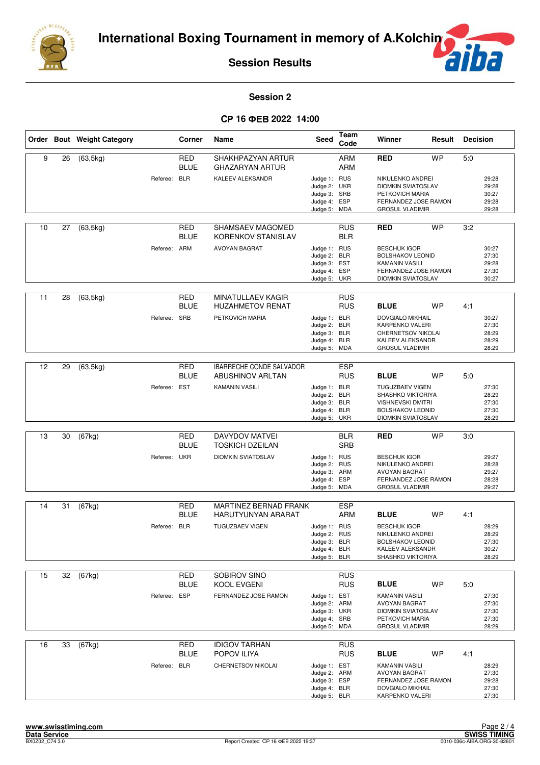

 $\overline{f}$ F

### **Session 2**

## CP 16  $\Phi$ EB 2022 14:00

|    |    | Order Bout Weight Category |              | Corner                    | Name                                                       | Seed                                                                         | Team<br>Code             | Winner                                                                                                                          | Result    | <b>Decision</b> |                                           |
|----|----|----------------------------|--------------|---------------------------|------------------------------------------------------------|------------------------------------------------------------------------------|--------------------------|---------------------------------------------------------------------------------------------------------------------------------|-----------|-----------------|-------------------------------------------|
| 9  | 26 | (63, 5kg)                  |              | <b>RED</b><br><b>BLUE</b> | SHAKHPAZYAN ARTUR<br><b>GHAZARYAN ARTUR</b>                |                                                                              | <b>ARM</b><br><b>ARM</b> | <b>RED</b>                                                                                                                      | <b>WP</b> | 5.0             |                                           |
|    |    |                            | Referee: BLR |                           | <b>KALEEV ALEKSANDR</b>                                    | Judge 1: RUS<br>Judge 2: UKR<br>Judge 3: SRB<br>Judge 4: ESP<br>Judge 5: MDA |                          | NIKULENKO ANDREI<br><b>DIOMKIN SVIATOSLAV</b><br>PETKOVICH MARIA<br>FERNANDEZ JOSE RAMON<br><b>GROSUL VLADIMIR</b>              |           |                 | 29:28<br>29:28<br>30:27<br>29:28<br>29:28 |
| 10 | 27 | (63, 5kg)                  |              | <b>RED</b><br><b>BLUE</b> | SHAMSAEV MAGOMED<br><b>KORENKOV STANISLAV</b>              |                                                                              | <b>RUS</b><br><b>BLR</b> | <b>RED</b>                                                                                                                      | <b>WP</b> | 3:2             |                                           |
|    |    |                            | Referee: ARM |                           | <b>AVOYAN BAGRAT</b>                                       | Judge 1: RUS<br>Judge 2: BLR<br>Judge 3: EST<br>Judge 4: ESP<br>Judge 5: UKR |                          | <b>BESCHUK IGOR</b><br><b>BOLSHAKOV LEONID</b><br><b>KAMANIN VASILI</b><br>FERNANDEZ JOSE RAMON<br><b>DIOMKIN SVIATOSLAV</b>    |           |                 | 30:27<br>27:30<br>29:28<br>27:30<br>30:27 |
| 11 | 28 | (63, 5kg)                  |              | RED<br><b>BLUE</b>        | <b>MINATULLAEV KAGIR</b><br><b>HUZAHMETOV RENAT</b>        |                                                                              | <b>RUS</b><br><b>RUS</b> | <b>BLUE</b>                                                                                                                     | <b>WP</b> | 4:1             |                                           |
|    |    |                            | Referee: SRB |                           | PETKOVICH MARIA                                            | Judge 1: BLR<br>Judge 2: BLR<br>Judge 3: BLR<br>Judge 4: BLR<br>Judge 5: MDA |                          | <b>DOVGIALO MIKHAIL</b><br><b>KARPENKO VALERI</b><br>CHERNETSOV NIKOLAI<br>KALEEV ALEKSANDR<br><b>GROSUL VLADIMIR</b>           |           |                 | 30:27<br>27:30<br>28:29<br>28:29<br>28:29 |
|    |    |                            |              |                           |                                                            |                                                                              |                          |                                                                                                                                 |           |                 |                                           |
| 12 | 29 | (63, 5kg)                  |              | <b>RED</b><br><b>BLUE</b> | <b>IBARRECHE CONDE SALVADOR</b><br><b>ABUSHINOV ARLTAN</b> |                                                                              | <b>ESP</b><br><b>RUS</b> | <b>BLUE</b>                                                                                                                     | <b>WP</b> | 5:0             |                                           |
|    |    |                            | Referee: EST |                           | <b>KAMANIN VASILI</b>                                      | Judge 1: BLR<br>Judge 2: BLR<br>Judge 3: BLR<br>Judge 4: BLR<br>Judge 5: UKR |                          | <b>TUGUZBAEV VIGEN</b><br>SHASHKO VIKTORIYA<br><b>VISHNEVSKI DMITRI</b><br><b>BOLSHAKOV LEONID</b><br><b>DIOMKIN SVIATOSLAV</b> |           |                 | 27:30<br>28:29<br>27:30<br>27:30<br>28:29 |
|    |    |                            |              |                           |                                                            |                                                                              |                          |                                                                                                                                 |           |                 |                                           |
| 13 | 30 | (67kg)                     |              | <b>RED</b><br><b>BLUE</b> | DAVYDOV MATVEI<br><b>TOSKICH DZEILAN</b>                   |                                                                              | <b>BLR</b><br><b>SRB</b> | <b>RED</b>                                                                                                                      | <b>WP</b> | 3:0             |                                           |
|    |    |                            | Referee: UKR |                           | <b>DIOMKIN SVIATOSLAV</b>                                  | Judge 1: RUS<br>Judge 2: RUS<br>Judge 3: ARM<br>Judge 4: ESP<br>Judge 5: MDA |                          | <b>BESCHUK IGOR</b><br>NIKULENKO ANDREI<br><b>AVOYAN BAGRAT</b><br>FERNANDEZ JOSE RAMON<br><b>GROSUL VLADIMIR</b>               |           |                 | 29:27<br>28:28<br>29:27<br>28:28<br>29:27 |
| 14 | 31 | (67kg)                     |              | RED                       | MARTINEZ BERNAD FRANK                                      |                                                                              | <b>ESP</b>               |                                                                                                                                 |           |                 |                                           |
|    |    |                            |              | <b>BLUE</b>               | HARUTYUNYAN ARARAT                                         |                                                                              | ARM                      | <b>BLUE</b>                                                                                                                     | <b>WP</b> | 4:1             |                                           |
|    |    |                            | Referee: BLR |                           | <b>TUGUZBAEV VIGEN</b>                                     | Judge 1: RUS<br>Judge 2: RUS<br>Judge 3: BLR<br>Judge 4: BLR<br>Judge 5: BLR |                          | <b>BESCHUK IGOR</b><br>NIKULENKO ANDREI<br><b>BOLSHAKOV LEONID</b><br>KALEEV ALEKSANDR<br>SHASHKO VIKTORIYA                     |           |                 | 28:29<br>28:29<br>27:30<br>30:27<br>28:29 |
| 15 | 32 | (67kg)                     |              | RED                       | SOBIROV SINO                                               |                                                                              | <b>RUS</b>               |                                                                                                                                 |           |                 |                                           |
|    |    |                            |              | <b>BLUE</b>               | KOOL EVGENI                                                |                                                                              | <b>RUS</b>               | <b>BLUE</b>                                                                                                                     | <b>WP</b> | 5:0             |                                           |
|    |    |                            | Referee:     | <b>ESP</b>                | FERNANDEZ JOSE RAMON                                       | Judge 1: EST<br>Judge 2: ARM<br>Judge 3: UKR<br>Judge 4: SRB<br>Judge 5: MDA |                          | <b>KAMANIN VASILI</b><br><b>AVOYAN BAGRAT</b><br><b>DIOMKIN SVIATOSLAV</b><br>PETKOVICH MARIA<br><b>GROSUL VLADIMIR</b>         |           |                 | 27:30<br>27:30<br>27:30<br>27:30<br>28:29 |
| 16 | 33 | (67kg)                     |              | RED<br><b>BLUE</b>        | <b>IDIGOV TARHAN</b><br>POPOV ILIYA                        |                                                                              | <b>RUS</b><br><b>RUS</b> | <b>BLUE</b>                                                                                                                     | <b>WP</b> | 4:1             |                                           |
|    |    |                            | Referee: BLR |                           | CHERNETSOV NIKOLAI                                         | Judge 1: EST<br>Judge 2: ARM<br>Judge 3: ESP<br>Judge 4: BLR<br>Judge 5: BLR |                          | KAMANIN VASILI<br><b>AVOYAN BAGRAT</b><br>FERNANDEZ JOSE RAMON<br>DOVGIALO MIKHAIL<br>KARPENKO VALERI                           |           |                 | 28:29<br>27:30<br>29:28<br>27:30<br>27:30 |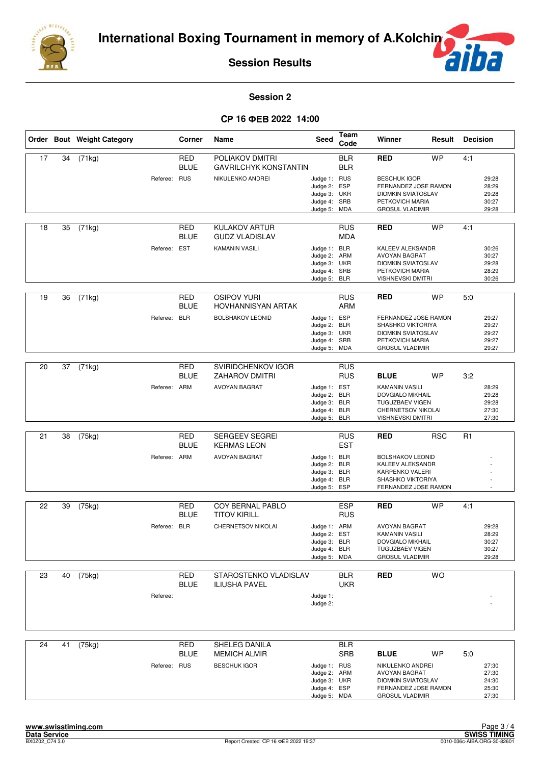



**Session 2**

### CP 16  $\Phi$ EB 2022 14:00

|    |    | Order Bout Weight Category |              | Corner                           | Name                                                                       | Seed                                                                         | Team<br>Code                    | Winner                                                                                                                                    | Result     | <b>Decision</b> |                                           |
|----|----|----------------------------|--------------|----------------------------------|----------------------------------------------------------------------------|------------------------------------------------------------------------------|---------------------------------|-------------------------------------------------------------------------------------------------------------------------------------------|------------|-----------------|-------------------------------------------|
| 17 | 34 | (71kg)                     | Referee: RUS | <b>RED</b><br><b>BLUE</b>        | POLIAKOV DMITRI<br><b>GAVRILCHYK KONSTANTIN</b><br>NIKULENKO ANDREI        | Judge 1: RUS<br>Judge 2: ESP<br>Judge 3: UKR<br>Judge 4: SRB<br>Judge 5: MDA | <b>BLR</b><br><b>BLR</b>        | <b>RED</b><br><b>BESCHUK IGOR</b><br>FERNANDEZ JOSE RAMON<br><b>DIOMKIN SVIATOSLAV</b><br>PETKOVICH MARIA<br><b>GROSUL VLADIMIR</b>       | <b>WP</b>  | 4:1             | 29:28<br>28:29<br>29:28<br>30:27<br>29:28 |
| 18 | 35 | (71kg)                     | Referee: EST | RED<br><b>BLUE</b>               | <b>KULAKOV ARTUR</b><br><b>GUDZ VLADISLAV</b><br><b>KAMANIN VASILI</b>     | Judge 1: BLR<br>Judge 2: ARM<br>Judge 3: UKR<br>Judge 4: SRB<br>Judge 5: BLR | <b>RUS</b><br><b>MDA</b>        | <b>RED</b><br><b>KALEEV ALEKSANDR</b><br><b>AVOYAN BAGRAT</b><br><b>DIOMKIN SVIATOSLAV</b><br>PETKOVICH MARIA<br><b>VISHNEVSKI DMITRI</b> | <b>WP</b>  | 4:1             | 30:26<br>30:27<br>29:28<br>28:29<br>30:26 |
| 19 | 36 | (71kg)                     | Referee:     | RED<br><b>BLUE</b><br><b>BLR</b> | <b>OSIPOV YURI</b><br><b>HOVHANNISYAN ARTAK</b><br><b>BOLSHAKOV LEONID</b> | Judge 1: ESP<br>Judge 2: BLR<br>Judge 3: UKR<br>Judge 4: SRB<br>Judge 5: MDA | <b>RUS</b><br><b>ARM</b>        | <b>RED</b><br>FERNANDEZ JOSE RAMON<br>SHASHKO VIKTORIYA<br><b>DIOMKIN SVIATOSLAV</b><br>PETKOVICH MARIA<br><b>GROSUL VLADIMIR</b>         | <b>WP</b>  | 5:0             | 29:27<br>29:27<br>29:27<br>29:27<br>29:27 |
| 20 | 37 | (71kg)                     | Referee: ARM | RED<br><b>BLUE</b>               | SVIRIDCHENKOV IGOR<br><b>ZAHAROV DMITRI</b><br><b>AVOYAN BAGRAT</b>        | Judge 1: EST<br>Judge 2: BLR<br>Judge 3: BLR<br>Judge 4: BLR<br>Judge 5: BLR | <b>RUS</b><br><b>RUS</b>        | <b>BLUE</b><br><b>KAMANIN VASILI</b><br>DOVGIALO MIKHAIL<br><b>TUGUZBAEV VIGEN</b><br>CHERNETSOV NIKOLAI<br><b>VISHNEVSKI DMITRI</b>      | <b>WP</b>  | 3:2             | 28:29<br>29:28<br>29:28<br>27:30<br>27:30 |
| 21 | 38 | (75kg)                     | Referee: ARM | <b>RED</b><br><b>BLUE</b>        | SERGEEV SEGREI<br><b>KERMAS LEON</b><br><b>AVOYAN BAGRAT</b>               | Judge 1: BLR<br>Judge 2: BLR<br>Judge 3: BLR<br>Judge 4: BLR<br>Judge 5:     | <b>RUS</b><br><b>EST</b><br>ESP | <b>RED</b><br><b>BOLSHAKOV LEONID</b><br>KALEEV ALEKSANDR<br>KARPENKO VALERI<br>SHASHKO VIKTORIYA<br>FERNANDEZ JOSE RAMON                 | <b>RSC</b> | R <sub>1</sub>  |                                           |
| 22 | 39 | (75kg)                     | Referee: BLR | RED<br><b>BLUE</b>               | COY BERNAL PABLO<br><b>TITOV KIRILL</b><br>CHERNETSOV NIKOLAI              | Judge 1: ARM<br>Judge 2: EST<br>Judge 3: BLR<br>Judge 4: BLR<br>Judge 5: MDA | <b>ESP</b><br><b>RUS</b>        | <b>RED</b><br><b>AVOYAN BAGRAT</b><br>KAMANIN VASILI<br><b>DOVGIALO MIKHAIL</b><br><b>TUGUZBAEV VIGEN</b><br><b>GROSUL VLADIMIR</b>       | <b>WP</b>  | 4:1             | 29:28<br>28:29<br>30:27<br>30:27<br>29:28 |
| 23 | 40 | (75kg)                     | Referee:     | <b>RED</b><br><b>BLUE</b>        | STAROSTENKO VLADISLAV<br><b>ILIUSHA PAVEL</b>                              | Judge 1:<br>Judge 2:                                                         | <b>BLR</b><br><b>UKR</b>        | <b>RED</b>                                                                                                                                | <b>WO</b>  |                 |                                           |
| 24 | 41 | (75kg)                     | Referee: RUS | <b>RED</b><br><b>BLUE</b>        | SHELEG DANILA<br><b>MEMICH ALMIR</b><br><b>BESCHUK IGOR</b>                | Judge 1: RUS<br>Judge 2: ARM<br>Judge 3: UKR<br>Judge 4: ESP<br>Judge 5: MDA | <b>BLR</b><br><b>SRB</b>        | <b>BLUE</b><br>NIKULENKO ANDREI<br>AVOYAN BAGRAT<br>DIOMKIN SVIATOSLAV<br>FERNANDEZ JOSE RAMON<br><b>GROSUL VLADIMIR</b>                  | WP         | 5:0             | 27:30<br>27:30<br>24:30<br>25:30<br>27:30 |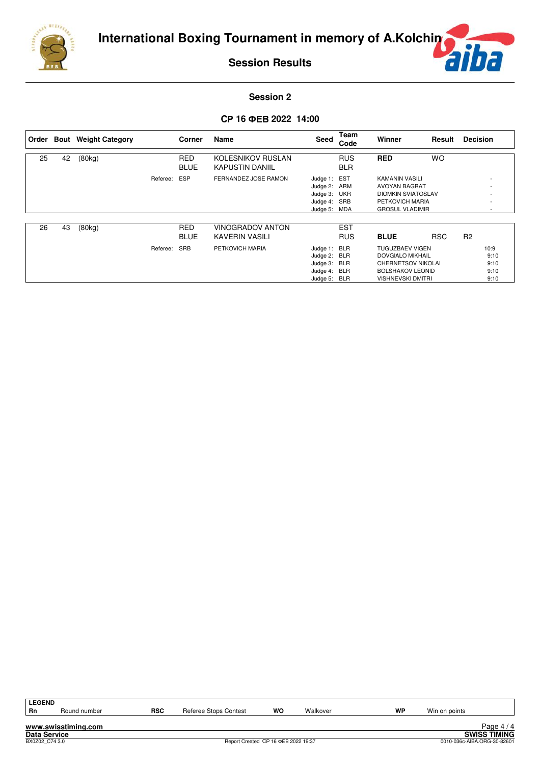





### **Session 2**

## CP 16 **ΦEB 2022 14:00**

|    |    | Order Bout Weight Category |          | Corner      | Name                   | Seed         | Team<br>Code | Winner                    | Result     | <b>Decision</b> |      |
|----|----|----------------------------|----------|-------------|------------------------|--------------|--------------|---------------------------|------------|-----------------|------|
| 25 | 42 | (80kg)                     |          | <b>RED</b>  | KOLESNIKOV RUSLAN      |              | <b>RUS</b>   | <b>RED</b>                | <b>WO</b>  |                 |      |
|    |    |                            |          | <b>BLUE</b> | <b>KAPUSTIN DANIIL</b> |              | <b>BLR</b>   |                           |            |                 |      |
|    |    |                            | Referee: | <b>ESP</b>  | FERNANDEZ JOSE RAMON   | Judge 1: EST |              | KAMANIN VASILI            |            |                 |      |
|    |    |                            |          |             |                        | Judge 2: ARM |              | AVOYAN BAGRAT             |            |                 |      |
|    |    |                            |          |             |                        | Judge 3: UKR |              | <b>DIOMKIN SVIATOSLAV</b> |            |                 |      |
|    |    |                            |          |             |                        | Judge 4: SRB |              | PETKOVICH MARIA           |            |                 |      |
|    |    |                            |          |             |                        | Judge 5: MDA |              | <b>GROSUL VLADIMIR</b>    |            |                 | ٠    |
|    |    |                            |          |             |                        |              |              |                           |            |                 |      |
| 26 | 43 | (80kg)                     |          | <b>RED</b>  | VINOGRADOV ANTON       |              | <b>EST</b>   |                           |            |                 |      |
|    |    |                            |          | <b>BLUE</b> | KAVERIN VASILI         |              | <b>RUS</b>   | <b>BLUE</b>               | <b>RSC</b> | R <sub>2</sub>  |      |
|    |    |                            | Referee: | <b>SRB</b>  | PETKOVICH MARIA        | Judge 1: BLR |              | <b>TUGUZBAEV VIGEN</b>    |            |                 | 10:9 |
|    |    |                            |          |             |                        | Judge 2: BLR |              | <b>DOVGIALO MIKHAIL</b>   |            |                 | 9:10 |
|    |    |                            |          |             |                        | Judge 3:     | <b>BLR</b>   | <b>CHERNETSOV NIKOLAI</b> |            |                 | 9:10 |
|    |    |                            |          |             |                        | Judge 4: BLR |              | <b>BOLSHAKOV LEONID</b>   |            |                 | 9:10 |
|    |    |                            |          |             |                        | Judge 5: BLR |              | <b>VISHNEVSKI DMITRI</b>  |            |                 | 9:10 |

| <b>LEGEND</b>  |                     |            |                       |                                     |          |    |               |                             |
|----------------|---------------------|------------|-----------------------|-------------------------------------|----------|----|---------------|-----------------------------|
| <b>Rn</b>      | Round number        | <b>RSC</b> | Referee Stops Contest | wo                                  | Walkover | WP | Win on points |                             |
|                |                     |            |                       |                                     |          |    |               |                             |
|                | www.swisstiming.com |            |                       |                                     |          |    |               | Page $4/4$                  |
| Data Service   |                     |            |                       |                                     |          |    |               | <b>SWISS TIMING</b>         |
| BX0Z02 C74 3.0 |                     |            |                       | Report Created CP 16 ΦEB 2022 19:37 |          |    |               | 0010-036c-AIBA.ORG-30-82601 |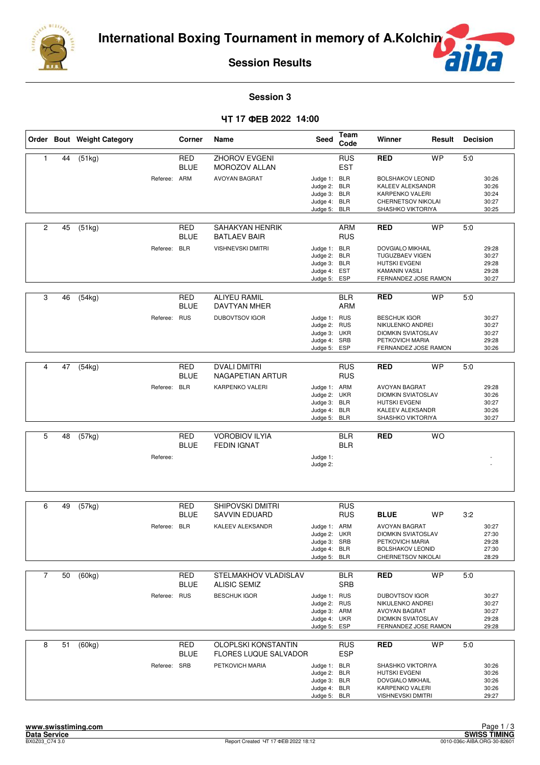

ה É

### **Session 3**

## **17 2022 14:00**

|                |    | Order Bout Weight Category |              | Corner                    | Name                                                                 | <b>Seed</b>                                                                  | Team<br>Code             | Winner                                                                                                                | Result    | <b>Decision</b> |                                           |
|----------------|----|----------------------------|--------------|---------------------------|----------------------------------------------------------------------|------------------------------------------------------------------------------|--------------------------|-----------------------------------------------------------------------------------------------------------------------|-----------|-----------------|-------------------------------------------|
| 1              | 44 | (51kg)                     | Referee: ARM | RED<br><b>BLUE</b>        | <b>ZHOROV EVGENI</b><br><b>MOROZOV ALLAN</b><br><b>AVOYAN BAGRAT</b> | Judge 1: BLR<br>Judge 2: BLR                                                 | <b>RUS</b><br><b>EST</b> | <b>RED</b><br><b>BOLSHAKOV LEONID</b><br>KALEEV ALEKSANDR                                                             | <b>WP</b> | 5:0             | 30:26<br>30:26                            |
|                |    |                            |              |                           |                                                                      | Judge 3: BLR<br>Judge 4: BLR<br>Judge 5: BLR                                 |                          | <b>KARPENKO VALERI</b><br>CHERNETSOV NIKOLAI<br>SHASHKO VIKTORIYA                                                     |           |                 | 30:24<br>30:27<br>30:25                   |
| 2              | 45 | (51kg)                     |              | RED<br><b>BLUE</b>        | <b>SAHAKYAN HENRIK</b><br><b>BATLAEV BAIR</b>                        |                                                                              | <b>ARM</b><br><b>RUS</b> | <b>RED</b>                                                                                                            | <b>WP</b> | 5:0             |                                           |
|                |    |                            | Referee: BLR |                           | VISHNEVSKI DMITRI                                                    | Judge 1: BLR<br>Judge 2: BLR<br>Judge 3: BLR<br>Judge 4: EST<br>Judge 5: ESP |                          | DOVGIALO MIKHAIL<br><b>TUGUZBAEV VIGEN</b><br><b>HUTSKI EVGENI</b><br>KAMANIN VASILI<br>FERNANDEZ JOSE RAMON          |           |                 | 29:28<br>30:27<br>29:28<br>29:28<br>30:27 |
| 3              | 46 | (54kg)                     |              | RED<br><b>BLUE</b>        | <b>ALIYEU RAMIL</b><br>DAVTYAN MHER                                  |                                                                              | BLR<br><b>ARM</b>        | RED                                                                                                                   | <b>WP</b> | 5:0             |                                           |
|                |    |                            | Referee: RUS |                           | <b>DUBOVTSOV IGOR</b>                                                | Judge 1: RUS<br>Judge 2: RUS<br>Judge 3: UKR<br>Judge 4: SRB<br>Judge 5: ESP |                          | <b>BESCHUK IGOR</b><br>NIKULENKO ANDREI<br><b>DIOMKIN SVIATOSLAV</b><br>PETKOVICH MARIA<br>FERNANDEZ JOSE RAMON       |           |                 | 30:27<br>30:27<br>30:27<br>29:28<br>30:26 |
| 4              | 47 | (54kg)                     |              | <b>RED</b><br><b>BLUE</b> | <b>DVALI DMITRI</b><br>NAGAPETIAN ARTUR                              |                                                                              | <b>RUS</b><br><b>RUS</b> | <b>RED</b>                                                                                                            | <b>WP</b> | 5:0             |                                           |
|                |    |                            | Referee: BLR |                           | KARPENKO VALERI                                                      | Judge 1: ARM<br>Judge 2: UKR<br>Judge 3: BLR<br>Judge 4: BLR<br>Judge 5: BLR |                          | AVOYAN BAGRAT<br><b>DIOMKIN SVIATOSLAV</b><br><b>HUTSKI EVGENI</b><br>KALEEV ALEKSANDR<br>SHASHKO VIKTORIYA           |           |                 | 29:28<br>30:26<br>30:27<br>30:26<br>30:27 |
| 5              | 48 | $\overline{(57kg)}$        |              | <b>RED</b><br><b>BLUE</b> | <b>VOROBIOV ILYIA</b><br><b>FEDIN IGNAT</b>                          |                                                                              | <b>BLR</b><br><b>BLR</b> | <b>RED</b>                                                                                                            | <b>WO</b> |                 |                                           |
|                |    |                            | Referee:     |                           |                                                                      | Judge 1:<br>Judge 2:                                                         |                          |                                                                                                                       |           |                 |                                           |
| 6              | 49 | (57kg)                     |              | <b>RED</b>                | SHIPOVSKI DMITRI                                                     |                                                                              | <b>RUS</b>               |                                                                                                                       |           |                 |                                           |
|                |    |                            |              | <b>BLUE</b>               | <b>SAVVIN EDUARD</b>                                                 |                                                                              | <b>RUS</b>               | <b>BLUE</b>                                                                                                           | <b>WP</b> | 3:2             |                                           |
|                |    |                            | Referee: BLR |                           | KALEEV ALEKSANDR                                                     | Judge 1: ARM<br>Judge 2: UKR<br>Judge 3: SRB<br>Judge 4: BLR<br>Judge 5: BLR |                          | <b>AVOYAN BAGRAT</b><br><b>DIOMKIN SVIATOSLAV</b><br>PETKOVICH MARIA<br><b>BOLSHAKOV LEONID</b><br>CHERNETSOV NIKOLAI |           |                 | 30:27<br>27:30<br>29:28<br>27:30<br>28:29 |
| $\overline{7}$ | 50 | (60kg)                     |              | RED                       | STELMAKHOV VLADISLAV                                                 |                                                                              | <b>BLR</b>               | <b>RED</b>                                                                                                            | <b>WP</b> | 5:0             |                                           |
|                |    |                            |              | <b>BLUE</b>               | <b>ALISIC SEMIZ</b>                                                  |                                                                              | <b>SRB</b>               |                                                                                                                       |           |                 |                                           |
|                |    |                            | Referee: RUS |                           | <b>BESCHUK IGOR</b>                                                  | Judge 1: RUS<br>Judge 2: RUS<br>Judge 3: ARM<br>Judge 4: UKR<br>Judge 5: ESP |                          | <b>DUBOVTSOV IGOR</b><br>NIKULENKO ANDREI<br>AVOYAN BAGRAT<br><b>DIOMKIN SVIATOSLAV</b><br>FERNANDEZ JOSE RAMON       |           |                 | 30:27<br>30:27<br>30:27<br>29:28<br>29:28 |
| 8              | 51 | (60kg)                     |              | <b>RED</b>                | <b>OLOPLSKI KONSTANTIN</b>                                           |                                                                              | <b>RUS</b>               | <b>RED</b>                                                                                                            | <b>WP</b> | 5:0             |                                           |
|                |    |                            | Referee: SRB | <b>BLUE</b>               | <b>FLORES LUQUE SALVADOR</b><br>PETKOVICH MARIA                      | Judge 1: BLR<br>Judge 2: BLR<br>Judge 3: BLR<br>Judge 4: BLR<br>Judge 5: BLR | <b>ESP</b>               | SHASHKO VIKTORIYA<br><b>HUTSKI EVGENI</b><br>DOVGIALO MIKHAIL<br>KARPENKO VALERI<br><b>VISHNEVSKI DMITRI</b>          |           |                 | 30:26<br>30:26<br>30:26<br>30:26<br>29:27 |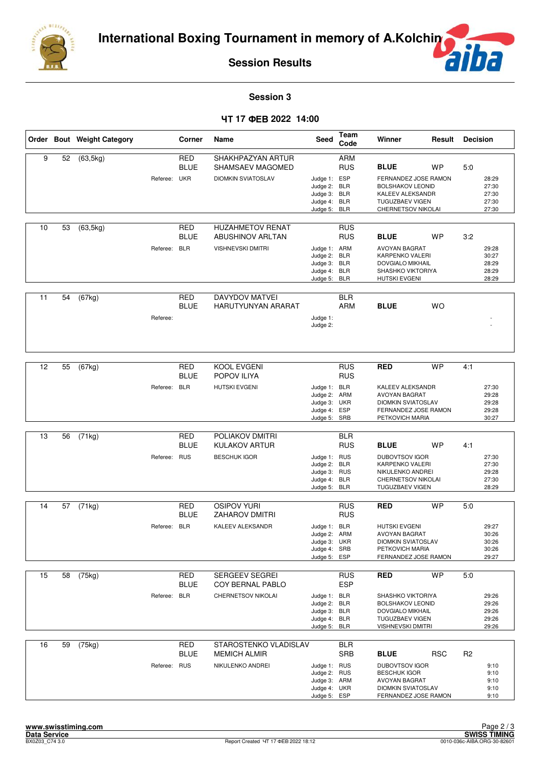

**F** F

### **Session 3**

## **17 2022 14:00**

|    |    | Order Bout Weight Category |              | Corner                                  | Name                                                                    | Seed                                                                         | <b>Team</b><br>Code             | Winner                                                                                                                                      | Result     | <b>Decision</b> |                                           |
|----|----|----------------------------|--------------|-----------------------------------------|-------------------------------------------------------------------------|------------------------------------------------------------------------------|---------------------------------|---------------------------------------------------------------------------------------------------------------------------------------------|------------|-----------------|-------------------------------------------|
| 9  | 52 | (63, 5kg)                  | Referee: UKR | <b>RED</b><br><b>BLUE</b>               | SHAKHPAZYAN ARTUR<br>SHAMSAEV MAGOMED<br><b>DIOMKIN SVIATOSLAV</b>      | Judge 1: ESP<br>Judge 2: BLR<br>Judge 3: BLR<br>Judge 4: BLR<br>Judge 5:     | <b>ARM</b><br><b>RUS</b><br>BLR | <b>BLUE</b><br>FERNANDEZ JOSE RAMON<br><b>BOLSHAKOV LEONID</b><br>KALEEV ALEKSANDR<br><b>TUGUZBAEV VIGEN</b><br>CHERNETSOV NIKOLAI          | <b>WP</b>  | 5:0             | 28:29<br>27:30<br>27:30<br>27:30<br>27:30 |
| 10 | 53 | (63, 5kg)                  | Referee: BLR | RED<br><b>BLUE</b>                      | <b>HUZAHMETOV RENAT</b><br><b>ABUSHINOV ARLTAN</b><br>VISHNEVSKI DMITRI | Judge 1: ARM<br>Judge 2: BLR<br>Judge 3: BLR<br>Judge 4: BLR<br>Judge 5: BLR | <b>RUS</b><br><b>RUS</b>        | <b>BLUE</b><br>AVOYAN BAGRAT<br>KARPENKO VALERI<br><b>DOVGIALO MIKHAIL</b><br>SHASHKO VIKTORIYA<br>HUTSKI EVGENI                            | <b>WP</b>  | 3:2             | 29:28<br>30:27<br>28:29<br>28:29<br>28:29 |
| 11 | 54 | (67kg)                     | Referee:     | <b>RED</b><br><b>BLUE</b>               | <b>DAVYDOV MATVEI</b><br>HARUTYUNYAN ARARAT                             | Judge 1:<br>Judge 2:                                                         | <b>BLR</b><br><b>ARM</b>        | <b>BLUE</b>                                                                                                                                 | <b>WO</b>  |                 |                                           |
| 12 | 55 | (67kg)                     | Referee:     | <b>RED</b><br><b>BLUE</b><br><b>BLR</b> | KOOL EVGENI<br>POPOV ILIYA<br><b>HUTSKI EVGENI</b>                      | Judge 1: BLR<br>Judge 2: ARM<br>Judge 3: UKR<br>Judge 4: ESP<br>Judge 5: SRB | <b>RUS</b><br><b>RUS</b>        | <b>RED</b><br>KALEEV ALEKSANDR<br><b>AVOYAN BAGRAT</b><br><b>DIOMKIN SVIATOSLAV</b><br>FERNANDEZ JOSE RAMON<br>PETKOVICH MARIA              | <b>WP</b>  | 4:1             | 27:30<br>29:28<br>29:28<br>29:28<br>30:27 |
| 13 | 56 | (71kg)                     | Referee:     | <b>RED</b><br><b>BLUE</b><br><b>RUS</b> | POLIAKOV DMITRI<br><b>KULAKOV ARTUR</b><br><b>BESCHUK IGOR</b>          | Judge 1: RUS<br>Judge 2: BLR<br>Judge 3: RUS<br>Judge 4: BLR<br>Judge 5: BLR | <b>BLR</b><br><b>RUS</b>        | <b>BLUE</b><br><b>DUBOVTSOV IGOR</b><br>KARPENKO VALERI<br>NIKULENKO ANDREI<br>CHERNETSOV NIKOLAI<br><b>TUGUZBAEV VIGEN</b>                 | <b>WP</b>  | 4:1             | 27:30<br>27:30<br>29:28<br>27:30<br>28:29 |
| 14 | 57 | (71kg)                     | Referee:     | RED<br><b>BLUE</b><br><b>BLR</b>        | <b>OSIPOV YURI</b><br><b>ZAHAROV DMITRI</b><br><b>KALEEV ALEKSANDR</b>  | Judge 1: BLR<br>Judge 2: ARM<br>Judge 3: UKR<br>Judge 4: SRB<br>Judge 5: ESP | <b>RUS</b><br><b>RUS</b>        | <b>RED</b><br><b>HUTSKI EVGENI</b><br><b>AVOYAN BAGRAT</b><br><b>DIOMKIN SVIATOSLAV</b><br>PETKOVICH MARIA<br>FERNANDEZ JOSE RAMON          | <b>WP</b>  | 5:0             | 29:27<br>30:26<br>30:26<br>30:26<br>29:27 |
| 15 | 58 | (75kg)                     | Referee:     | <b>RED</b><br><b>BLUE</b><br><b>BLR</b> | <b>SERGEEV SEGREI</b><br>COY BERNAL PABLO<br>CHERNETSOV NIKOLAI         | Judge 1: BLR<br>Judge 2: BLR<br>Judge 3: BLR<br>Judge 4: BLR<br>Judge 5: BLR | <b>RUS</b><br><b>ESP</b>        | <b>RED</b><br>SHASHKO VIKTORIYA<br><b>BOLSHAKOV LEONID</b><br><b>DOVGIALO MIKHAIL</b><br><b>TUGUZBAEV VIGEN</b><br><b>VISHNEVSKI DMITRI</b> | <b>WP</b>  | 5:0             | 29:26<br>29:26<br>29:26<br>29:26<br>29:26 |
| 16 | 59 | (75kg)                     | Referee: RUS | <b>RED</b><br><b>BLUE</b>               | STAROSTENKO VLADISLAV<br><b>MEMICH ALMIR</b><br>NIKULENKO ANDREI        | Judge 1: RUS<br>Judge 2: RUS<br>Judge 3: ARM<br>Judge 4: UKR<br>Judge 5: ESP | <b>BLR</b><br><b>SRB</b>        | <b>BLUE</b><br>DUBOVTSOV IGOR<br><b>BESCHUK IGOR</b><br>AVOYAN BAGRAT<br><b>DIOMKIN SVIATOSLAV</b><br>FERNANDEZ JOSE RAMON                  | <b>RSC</b> | R <sub>2</sub>  | 9:10<br>9:10<br>9:10<br>9:10<br>9:10      |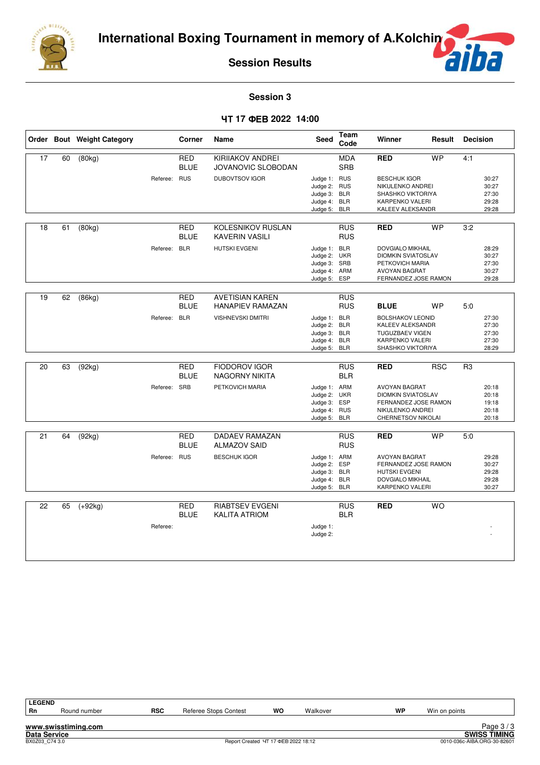



**Session 3**

### **17 2022 14:00**

|           |                           | Name                                                                       | Seed                 | Code                     | Winner                                                                                                                                                                                                                                                                                                                                                                   | Result     | <b>Decision</b>                                                                                                                                                                                                                                                                                                                                                                                                                                                       |                                           |
|-----------|---------------------------|----------------------------------------------------------------------------|----------------------|--------------------------|--------------------------------------------------------------------------------------------------------------------------------------------------------------------------------------------------------------------------------------------------------------------------------------------------------------------------------------------------------------------------|------------|-----------------------------------------------------------------------------------------------------------------------------------------------------------------------------------------------------------------------------------------------------------------------------------------------------------------------------------------------------------------------------------------------------------------------------------------------------------------------|-------------------------------------------|
| (80kg)    | RED<br><b>BLUE</b>        | KIRIIAKOV ANDREI<br>JOVANOVIC SLOBODAN                                     |                      | <b>MDA</b><br><b>SRB</b> | <b>RED</b>                                                                                                                                                                                                                                                                                                                                                               | <b>WP</b>  | 4:1                                                                                                                                                                                                                                                                                                                                                                                                                                                                   |                                           |
|           |                           | <b>DUBOVTSOV IGOR</b>                                                      | Judge 5:             | <b>BLR</b>               | <b>BESCHUK IGOR</b>                                                                                                                                                                                                                                                                                                                                                      |            |                                                                                                                                                                                                                                                                                                                                                                                                                                                                       | 30:27<br>30:27<br>27:30<br>29:28<br>29:28 |
| (80kg)    | RED<br><b>BLUE</b>        | KOLESNIKOV RUSLAN<br><b>KAVERIN VASILI</b>                                 |                      | <b>RUS</b><br><b>RUS</b> | <b>RED</b>                                                                                                                                                                                                                                                                                                                                                               | <b>WP</b>  | 3:2                                                                                                                                                                                                                                                                                                                                                                                                                                                                   |                                           |
|           |                           | <b>HUTSKI EVGENI</b>                                                       |                      | <b>ESP</b>               | <b>AVOYAN BAGRAT</b>                                                                                                                                                                                                                                                                                                                                                     |            |                                                                                                                                                                                                                                                                                                                                                                                                                                                                       | 28:29<br>30:27<br>27:30<br>30:27<br>29:28 |
| (86kg)    | RED<br><b>BLUE</b>        | <b>AVETISIAN KAREN</b><br><b>HANAPIEV RAMAZAN</b>                          |                      | <b>RUS</b><br><b>RUS</b> | <b>BLUE</b>                                                                                                                                                                                                                                                                                                                                                              | <b>WP</b>  | 5:0                                                                                                                                                                                                                                                                                                                                                                                                                                                                   |                                           |
| Referee:  |                           | <b>VISHNEVSKI DMITRI</b>                                                   |                      |                          |                                                                                                                                                                                                                                                                                                                                                                          |            |                                                                                                                                                                                                                                                                                                                                                                                                                                                                       | 27:30<br>27:30<br>27:30<br>27:30<br>28:29 |
| (92kg)    | <b>RED</b><br><b>BLUE</b> | <b>FIODOROV IGOR</b><br><b>NAGORNY NIKITA</b>                              |                      | <b>RUS</b><br><b>BLR</b> | <b>RED</b>                                                                                                                                                                                                                                                                                                                                                               | <b>RSC</b> | R <sub>3</sub>                                                                                                                                                                                                                                                                                                                                                                                                                                                        |                                           |
|           |                           | PETKOVICH MARIA                                                            |                      |                          | <b>AVOYAN BAGRAT</b>                                                                                                                                                                                                                                                                                                                                                     |            |                                                                                                                                                                                                                                                                                                                                                                                                                                                                       | 20:18<br>20:18<br>19:18<br>20:18<br>20:18 |
| (92kg)    | <b>RED</b><br><b>BLUE</b> | <b>DADAEV RAMAZAN</b><br><b>ALMAZOV SAID</b>                               |                      | <b>RUS</b><br><b>RUS</b> | <b>RED</b>                                                                                                                                                                                                                                                                                                                                                               | <b>WP</b>  | 5:0                                                                                                                                                                                                                                                                                                                                                                                                                                                                   |                                           |
|           |                           | <b>BESCHUK IGOR</b>                                                        | Judge 4:             | <b>BLR</b>               | <b>AVOYAN BAGRAT</b><br><b>HUTSKI EVGENI</b>                                                                                                                                                                                                                                                                                                                             |            |                                                                                                                                                                                                                                                                                                                                                                                                                                                                       | 29:28<br>30:27<br>29:28<br>29:28<br>30:27 |
| $(+92kg)$ | <b>RED</b><br><b>BLUE</b> | RIABTSEV EVGENI<br><b>KALITA ATRIOM</b>                                    |                      | <b>RUS</b><br><b>BLR</b> | <b>RED</b>                                                                                                                                                                                                                                                                                                                                                               | <b>WO</b>  |                                                                                                                                                                                                                                                                                                                                                                                                                                                                       |                                           |
| Referee:  |                           |                                                                            | Judge 1:<br>Judge 2: |                          |                                                                                                                                                                                                                                                                                                                                                                          |            |                                                                                                                                                                                                                                                                                                                                                                                                                                                                       |                                           |
|           |                           | Referee: RUS<br>Referee: BLR<br><b>BLR</b><br>Referee: SRB<br>Referee: RUS |                      |                          | Judge 1: RUS<br>Judge 2: RUS<br>Judge 3: BLR<br>Judge 4: BLR<br>Judge 1: BLR<br>Judge 2: UKR<br>Judge 3: SRB<br>Judge 4: ARM<br>Judge 5:<br>Judge 1: BLR<br>Judge 2: BLR<br>Judge 3: BLR<br>Judge 4: BLR<br>Judge 5: BLR<br>Judge 1: ARM<br>Judge 2: UKR<br>Judge 3: ESP<br>Judge 4: RUS<br>Judge 5: BLR<br>Judge 1: ARM<br>Judge 2: ESP<br>Judge 3: BLR<br>Judge 5: BLR |            | NIKULENKO ANDREI<br>SHASHKO VIKTORIYA<br><b>KARPENKO VALERI</b><br>KALEEV ALEKSANDR<br><b>DOVGIALO MIKHAIL</b><br><b>DIOMKIN SVIATOSLAV</b><br>PETKOVICH MARIA<br>FERNANDEZ JOSE RAMON<br><b>BOLSHAKOV LEONID</b><br>KALEEV ALEKSANDR<br><b>TUGUZBAEV VIGEN</b><br>KARPENKO VALERI<br>SHASHKO VIKTORIYA<br><b>DIOMKIN SVIATOSLAV</b><br>FERNANDEZ JOSE RAMON<br>NIKULENKO ANDREI<br>CHERNETSOV NIKOLAI<br>FERNANDEZ JOSE RAMON<br>DOVGIALO MIKHAIL<br>KARPENKO VALERI |                                           |

| <b>LEGEND</b> |                     |            |                              |                                     |          |    |                             |                     |
|---------------|---------------------|------------|------------------------------|-------------------------------------|----------|----|-----------------------------|---------------------|
| Rn            | Round number        | <b>RSC</b> | <b>Referee Stops Contest</b> | wo                                  | Walkover | WP | Win on points               |                     |
|               | www.swisstiming.com |            |                              |                                     |          |    |                             | Page $3/3$          |
|               | <b>Data Service</b> |            |                              |                                     |          |    |                             | <b>SWISS TIMING</b> |
|               | BX0Z03 C74 3.0      |            |                              | Report Created 4T 17 ΦΕΒ 2022 18:12 |          |    | 0010-036c-AIBA.ORG-30-82601 |                     |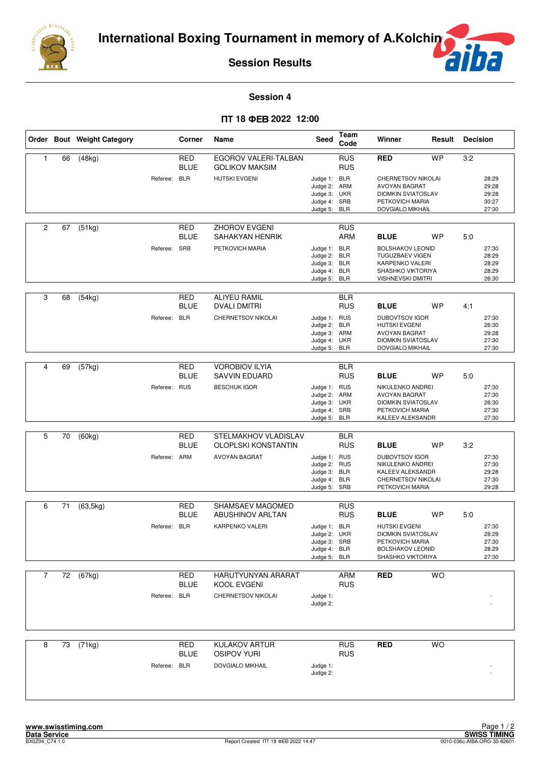

**F** F

#### **Session 4**

## $\Pi$ **T 18 ΦEB 2022 12:00**

|                |    | Order Bout Weight Category |              | Corner                    | Name                                                                       | Seed                                                                         | Team<br>Code             | Winner                                                                                                                                | Result    | <b>Decision</b> |                                           |
|----------------|----|----------------------------|--------------|---------------------------|----------------------------------------------------------------------------|------------------------------------------------------------------------------|--------------------------|---------------------------------------------------------------------------------------------------------------------------------------|-----------|-----------------|-------------------------------------------|
| 1              | 66 | (48kg)                     | Referee: BLR | RED<br><b>BLUE</b>        | EGOROV VALERI-TALBAN<br><b>GOLIKOV MAKSIM</b><br><b>HUTSKI EVGENI</b>      | Judge 1: BLR<br>Judge 2: ARM<br>Judge 3: UKR<br>Judge 4: SRB<br>Judge 5: BLR | <b>RUS</b><br><b>RUS</b> | <b>RED</b><br>CHERNETSOV NIKOLAI<br><b>AVOYAN BAGRAT</b><br><b>DIOMKIN SVIATOSLAV</b><br>PETKOVICH MARIA<br>DOVGIALO MIKHAIL          | <b>WP</b> | 3:2             | 28:29<br>29:28<br>29:28<br>30:27<br>27:30 |
| 2              | 67 | (51kg)                     | Referee: SRB | RED<br><b>BLUE</b>        | <b>ZHOROV EVGENI</b><br>SAHAKYAN HENRIK<br>PETKOVICH MARIA                 | Judge 1: BLR<br>Judge 2: BLR<br>Judge 3: BLR<br>Judge 4: BLR<br>Judge 5: BLR | <b>RUS</b><br><b>ARM</b> | <b>BLUE</b><br><b>BOLSHAKOV LEONID</b><br><b>TUGUZBAEV VIGEN</b><br>KARPENKO VALERI<br>SHASHKO VIKTORIYA<br><b>VISHNEVSKI DMITRI</b>  | <b>WP</b> | 5:0             | 27:30<br>28:29<br>28:29<br>28:29<br>26:30 |
| 3              | 68 | (54kg)                     | Referee: BLR | RED<br><b>BLUE</b>        | <b>ALIYEU RAMIL</b><br><b>DVALI DMITRI</b><br>CHERNETSOV NIKOLAI           | Judge 1: RUS<br>Judge 2: BLR<br>Judge 3: ARM<br>Judge 4: UKR<br>Judge 5: BLR | <b>BLR</b><br><b>RUS</b> | <b>BLUE</b><br><b>DUBOVTSOV IGOR</b><br><b>HUTSKI EVGENI</b><br><b>AVOYAN BAGRAT</b><br><b>DIOMKIN SVIATOSLAV</b><br>DOVGIALO MIKHAIL | <b>WP</b> | 4:1             | 27:30<br>26:30<br>29:28<br>27:30<br>27:30 |
| 4              | 69 | $\overline{(57kg)}$        | Referee: RUS | <b>RED</b><br><b>BLUE</b> | <b>VOROBIOV ILYIA</b><br><b>SAVVIN EDUARD</b><br><b>BESCHUK IGOR</b>       | Judge 1: RUS<br>Judge 2: ARM<br>Judge 3: UKR<br>Judge 4: SRB<br>Judge 5: BLR | <b>BLR</b><br><b>RUS</b> | <b>BLUE</b><br>NIKULENKO ANDREI<br><b>AVOYAN BAGRAT</b><br><b>DIOMKIN SVIATOSLAV</b><br>PETKOVICH MARIA<br>KALEEV ALEKSANDR           | <b>WP</b> | 5:0             | 27:30<br>27:30<br>26:30<br>27:30<br>27:30 |
| 5              | 70 | (60kg)                     | Referee: ARM | <b>RED</b><br><b>BLUE</b> | STELMAKHOV VLADISLAV<br><b>OLOPLSKI KONSTANTIN</b><br><b>AVOYAN BAGRAT</b> | Judge 1: RUS<br>Judge 2: RUS<br>Judge 3: BLR<br>Judge 4: BLR<br>Judge 5: SRB | <b>BLR</b><br><b>RUS</b> | <b>BLUE</b><br><b>DUBOVTSOV IGOR</b><br>NIKULENKO ANDREI<br>KALEEV ALEKSANDR<br>CHERNETSOV NIKOLAI<br>PETKOVICH MARIA                 | <b>WP</b> | 3:2             | 27:30<br>27:30<br>29:28<br>27:30<br>29:28 |
| 6              | 71 | (63, 5kg)                  | Referee: BLR | <b>RED</b><br><b>BLUE</b> | SHAMSAEV MAGOMED<br><b>ABUSHINOV ARLTAN</b><br>KARPENKO VALERI             | Judge 1: BLR<br>Judge 2: UKR<br>Judge 3: SRB<br>Judge 4: BLR<br>Judge 5: BLR | <b>RUS</b><br><b>RUS</b> | <b>BLUE</b><br><b>HUTSKI EVGENI</b><br><b>DIOMKIN SVIATOSLAV</b><br>PETKOVICH MARIA<br><b>BOLSHAKOV LEONID</b><br>SHASHKO VIKTORIYA   | <b>WP</b> | 5:0             | 27:30<br>28:29<br>27:30<br>28:29<br>27:30 |
| $\overline{7}$ | 72 | (67kg)                     | Referee: BLR | RED<br><b>BLUE</b>        | HARUTYUNYAN ARARAT<br>KOOL EVGENI<br>CHERNETSOV NIKOLAI                    | Judge 1:<br>Judge 2:                                                         | ARM<br><b>RUS</b>        | <b>RED</b>                                                                                                                            | <b>WO</b> |                 |                                           |
| 8              | 73 | (71kg)                     | Referee: BLR | <b>RED</b><br><b>BLUE</b> | <b>KULAKOV ARTUR</b><br><b>OSIPOV YURI</b><br>DOVGIALO MIKHAIL             | Judge 1:<br>Judge 2:                                                         | <b>RUS</b><br><b>RUS</b> | <b>RED</b>                                                                                                                            | <b>WO</b> |                 |                                           |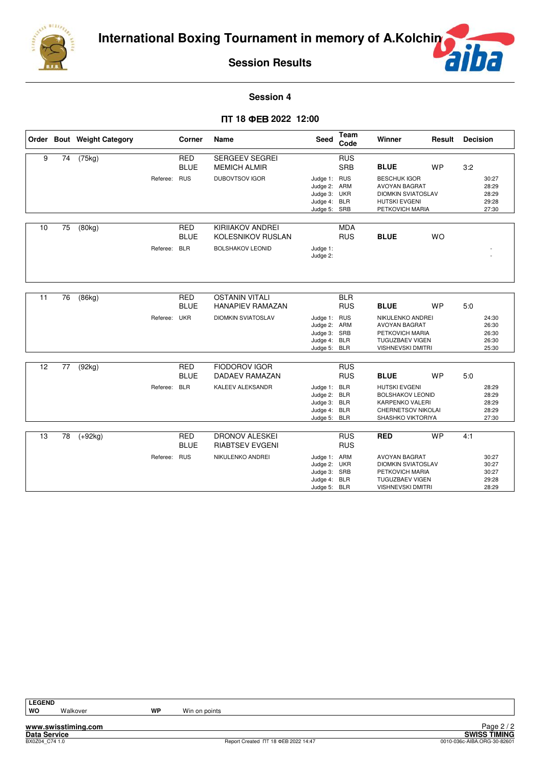



#### **Session 4**

## $\Pi$ **T 18 ΦEB 2022 12:00**

|    |    | Order Bout Weight Category |              | Corner                                  | Name                                                                           | Seed                                                                         | Team<br>Code             | Winner                                                                                                                              | Result    | <b>Decision</b> |                                           |
|----|----|----------------------------|--------------|-----------------------------------------|--------------------------------------------------------------------------------|------------------------------------------------------------------------------|--------------------------|-------------------------------------------------------------------------------------------------------------------------------------|-----------|-----------------|-------------------------------------------|
| 9  | 74 | (75kg)                     |              | <b>RED</b><br><b>BLUE</b>               | SERGEEV SEGREI<br><b>MEMICH ALMIR</b>                                          |                                                                              | <b>RUS</b><br><b>SRB</b> | <b>BLUE</b>                                                                                                                         | <b>WP</b> | 3:2             |                                           |
|    |    |                            | Referee: RUS |                                         | <b>DUBOVTSOV IGOR</b>                                                          | Judge 1: RUS<br>Judge 2: ARM<br>Judge 3: UKR<br>Judge 4: BLR<br>Judge 5: SRB |                          | <b>BESCHUK IGOR</b><br><b>AVOYAN BAGRAT</b><br><b>DIOMKIN SVIATOSLAV</b><br><b>HUTSKI EVGENI</b><br>PETKOVICH MARIA                 |           |                 | 30:27<br>28:29<br>28:29<br>29:28<br>27:30 |
| 10 | 75 | (80kg)                     | Referee:     | <b>RED</b><br><b>BLUE</b><br><b>BLR</b> | <b>KIRIIAKOV ANDREI</b><br><b>KOLESNIKOV RUSLAN</b><br><b>BOLSHAKOV LEONID</b> | Judge 1:<br>Judge 2:                                                         | <b>MDA</b><br><b>RUS</b> | <b>BLUE</b>                                                                                                                         | <b>WO</b> |                 |                                           |
| 11 | 76 | (86kg)                     |              | <b>RED</b><br><b>BLUE</b>               | <b>OSTANIN VITALI</b><br><b>HANAPIEV RAMAZAN</b>                               |                                                                              | <b>BLR</b><br><b>RUS</b> | <b>BLUE</b>                                                                                                                         | <b>WP</b> | 5:0             |                                           |
|    |    |                            | Referee: UKR |                                         | <b>DIOMKIN SVIATOSLAV</b>                                                      | Judge 1: RUS<br>Judge 2: ARM<br>Judge 3: SRB<br>Judge 4: BLR<br>Judge 5: BLR |                          | NIKULENKO ANDREI<br><b>AVOYAN BAGRAT</b><br>PETKOVICH MARIA<br><b>TUGUZBAEV VIGEN</b><br><b>VISHNEVSKI DMITRI</b>                   |           |                 | 24:30<br>26:30<br>26:30<br>26:30<br>25:30 |
| 12 | 77 | (92kg)                     |              | <b>RED</b>                              | <b>FIODOROV IGOR</b>                                                           |                                                                              | <b>RUS</b>               |                                                                                                                                     |           |                 |                                           |
|    |    |                            | Referee: BLR | <b>BLUE</b>                             | <b>DADAEV RAMAZAN</b><br>KALEEV ALEKSANDR                                      | Judge 1: BLR<br>Judge 2: BLR<br>Judge 3: BLR<br>Judge 4: BLR<br>Judge 5: BLR | <b>RUS</b>               | <b>BLUE</b><br><b>HUTSKI EVGENI</b><br><b>BOLSHAKOV LEONID</b><br><b>KARPENKO VALERI</b><br>CHERNETSOV NIKOLAI<br>SHASHKO VIKTORIYA | <b>WP</b> | 5:0             | 28:29<br>28:29<br>28:29<br>28:29<br>27:30 |
| 13 | 78 | $(+92kg)$                  |              | <b>RED</b><br><b>BLUE</b>               | <b>DRONOV ALESKEI</b><br><b>RIABTSEV EVGENI</b>                                |                                                                              | <b>RUS</b><br><b>RUS</b> | <b>RED</b>                                                                                                                          | <b>WP</b> | 4:1             |                                           |
|    |    |                            | Referee: RUS |                                         | NIKULENKO ANDREI                                                               | Judge 1: ARM<br>Judge 2: UKR<br>Judge 3: SRB<br>Judge 4: BLR<br>Judge 5: BLR |                          | <b>AVOYAN BAGRAT</b><br><b>DIOMKIN SVIATOSLAV</b><br>PETKOVICH MARIA<br><b>TUGUZBAEV VIGEN</b><br><b>VISHNEVSKI DMITRI</b>          |           |                 | 30:27<br>30:27<br>30:27<br>29:28<br>28:29 |

**LEGEND**

**www.swisstiming.com**

Walkover **WP** Win on points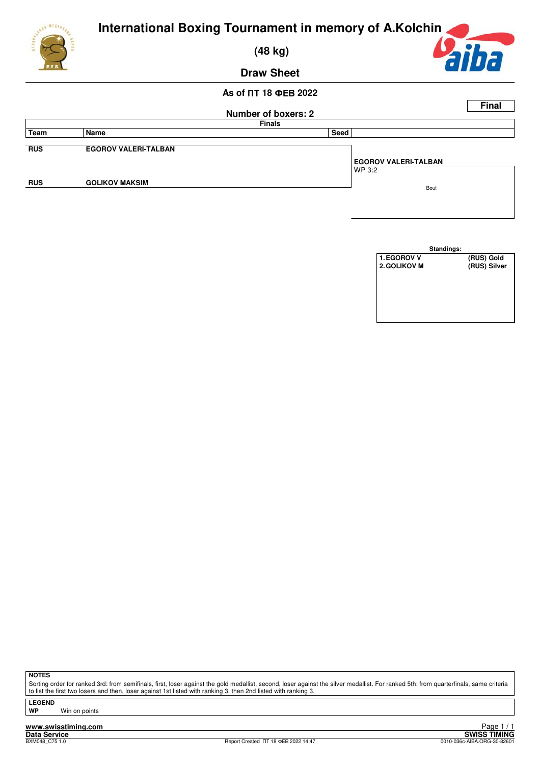

 **(48 kg)**



**Draw Sheet**

## $\overline{AB}$  of ПТ 18 ФЕВ 2022





**NOTES**

Sorting order for ranked 3rd: from semifinals, first, loser against the gold medallist, second, loser against the silver medallist. For ranked 5th: from quarterfinals, same criteria to list the first two losers and then, loser against 1st listed with ranking 3, then 2nd listed with ranking 3.

**LEGEND**

**Win on points**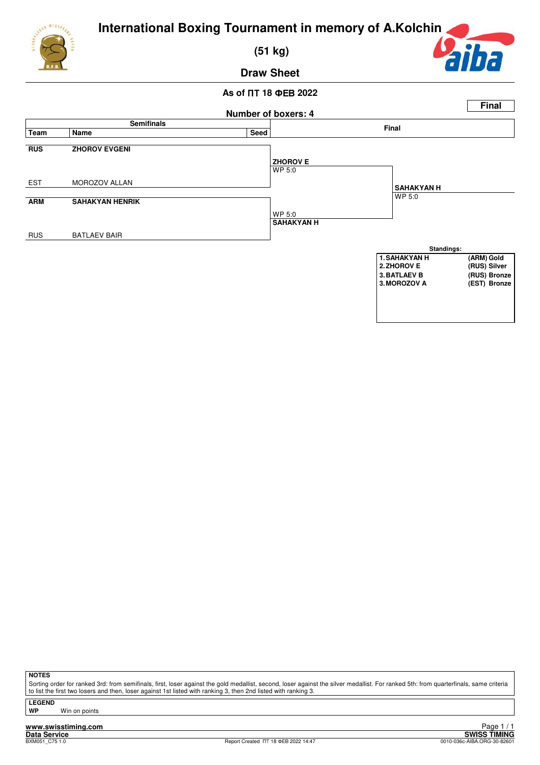

 **(51 kg)**



**Draw Sheet**

## $\overline{AB}$  of ПТ 18 ФЕВ 2022



**NOTES**

Sorting order for ranked 3rd: from semifinals, first, loser against the gold medallist, second, loser against the silver medallist. For ranked 5th: from quarterfinals, same criteria to list the first two losers and then, loser against 1st listed with ranking 3, then 2nd listed with ranking 3.

**LEGEND**

**Win on points**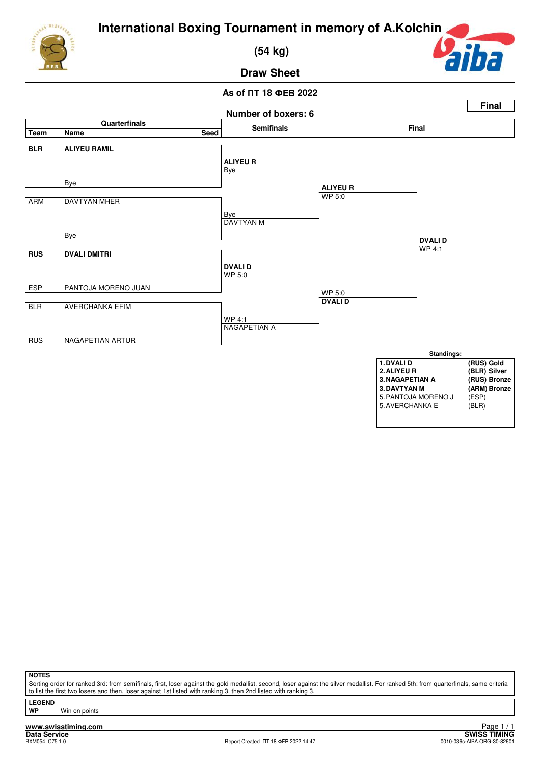

 **(54 kg)**



**Draw Sheet**

### $\overline{AB}$  of ПТ 18 ФЕВ 2022



**NOTES**

Sorting order for ranked 3rd: from semifinals, first, loser against the gold medallist, second, loser against the silver medallist. For ranked 5th: from quarterfinals, same criteria to list the first two losers and then, loser against 1st listed with ranking 3, then 2nd listed with ranking 3

**LEGEND**

**Win on points**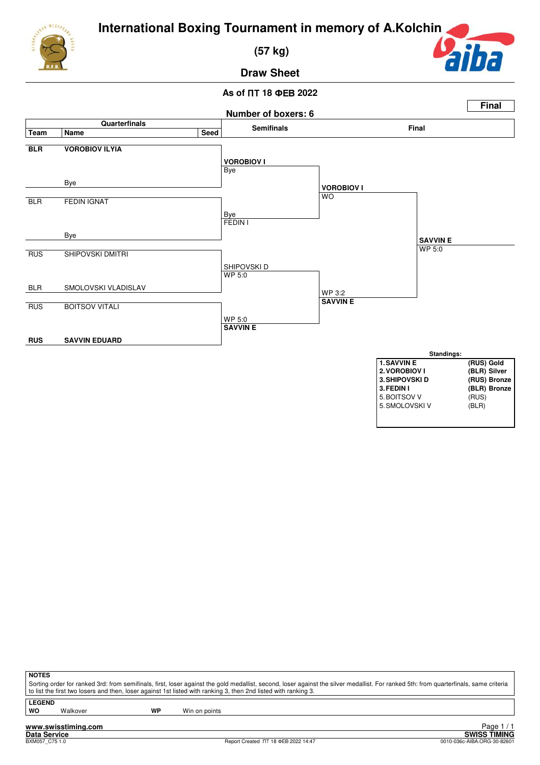

 **(57 kg)**



**Draw Sheet**

## $\overline{AB}$  of ПТ 18 ФЕВ 2022



| NOTES            |
|------------------|
| Sorting order fo |

or ranked 3rd: from semifinals, first, loser against the gold medallist, second, loser against the silver medallist. For ranked 5th: from quarterfinals, same criteria to list the first two losers and then, loser against 1st listed with ranking 3, then 2nd listed with ranking 3

**LEGEND**

Walkover **WP** Win on points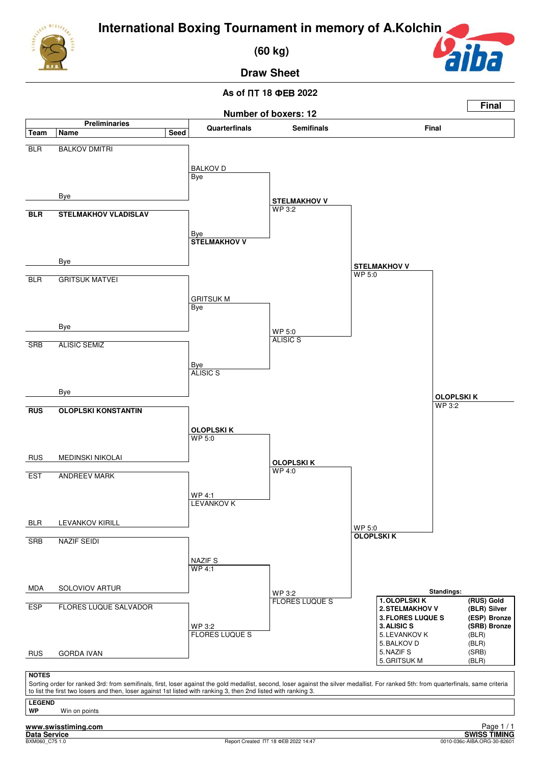

 **(60 kg)**



**Draw Sheet**

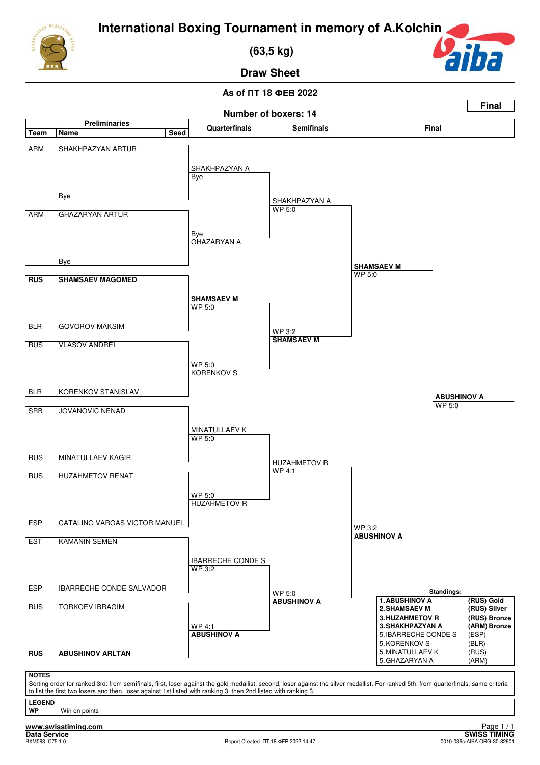

 **(63,5 kg)**



**Final**

**Draw Sheet**

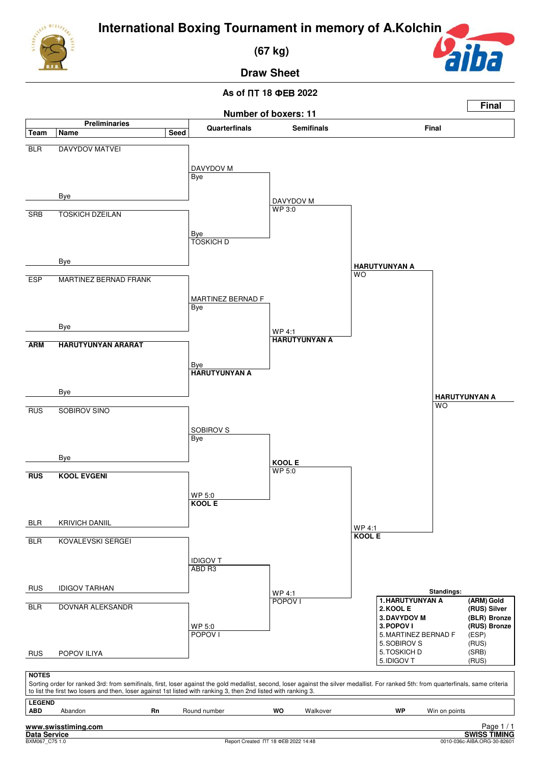

 **(67 kg)**



**Draw Sheet**

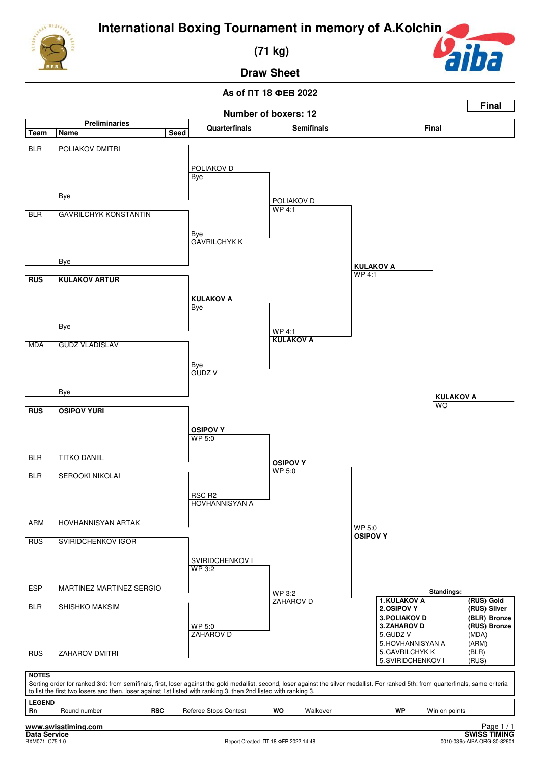

 **(71 kg)**



**Draw Sheet**

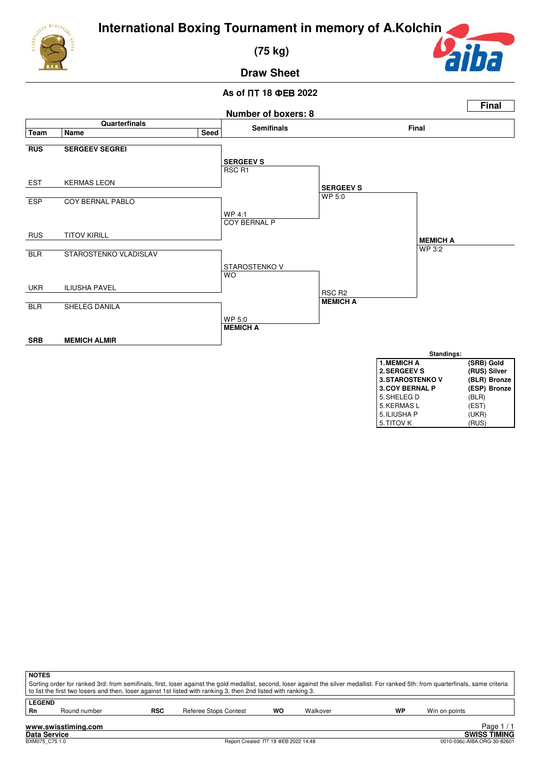

 **(75 kg)**



**Draw Sheet**



| <b>NOTES</b> |                                                                                                                                                                                                                                                                                                          |            |                       |    |          |    |               |  |  |  |  |
|--------------|----------------------------------------------------------------------------------------------------------------------------------------------------------------------------------------------------------------------------------------------------------------------------------------------------------|------------|-----------------------|----|----------|----|---------------|--|--|--|--|
|              | Sorting order for ranked 3rd: from semifinals, first, loser against the gold medallist, second, loser against the silver medallist. For ranked 5th: from quarterfinals, same criteria<br>to list the first two losers and then, loser against 1st listed with ranking 3, then 2nd listed with ranking 3. |            |                       |    |          |    |               |  |  |  |  |
|              | <b>LEGEND</b>                                                                                                                                                                                                                                                                                            |            |                       |    |          |    |               |  |  |  |  |
| Rn           | Round number                                                                                                                                                                                                                                                                                             | <b>RSC</b> | Referee Stops Contest | WO | Walkover | WP | Win on points |  |  |  |  |
|              | Page $1/1$<br>www.swisstiming.com<br><b>SWISS TIMING</b><br><b>Data Service</b>                                                                                                                                                                                                                          |            |                       |    |          |    |               |  |  |  |  |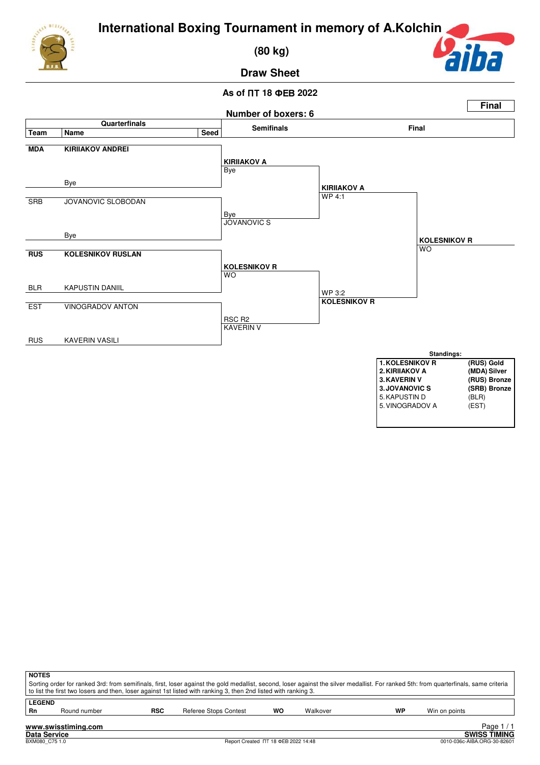

 **(80 kg)**



**Draw Sheet**



|                                                                   | <b>NOTES</b><br>Sorting order for ranked 3rd: from semifinals, first, loser against the gold medallist, second, loser against the silver medallist. For ranked 5th: from quarterfinals, same criteria<br>to list the first two losers and then, loser against 1st listed with ranking 3, then 2nd listed with ranking 3. |            |                       |    |          |    |               |  |  |  |  |  |
|-------------------------------------------------------------------|--------------------------------------------------------------------------------------------------------------------------------------------------------------------------------------------------------------------------------------------------------------------------------------------------------------------------|------------|-----------------------|----|----------|----|---------------|--|--|--|--|--|
| <b>LEGEND</b><br>Rn                                               | Round number                                                                                                                                                                                                                                                                                                             | <b>RSC</b> | Referee Stops Contest | wo | Walkover | WP | Win on points |  |  |  |  |  |
| Page $1/7$<br>www.swisstiming.com<br>CUIDO TIMINO<br>Bata Bamilan |                                                                                                                                                                                                                                                                                                                          |            |                       |    |          |    |               |  |  |  |  |  |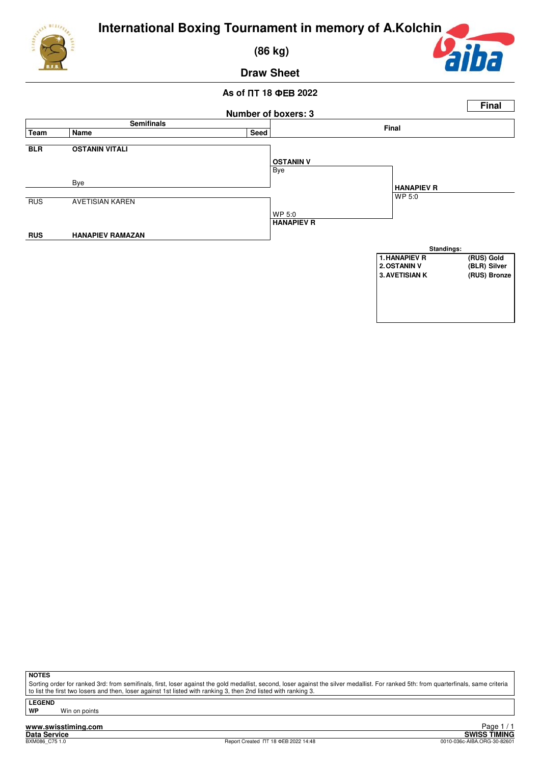

 **(86 kg)**



## **Draw Sheet**

## $\overline{AB}$  of ПТ 18 ФЕВ 2022



**NOTES**

Sorting order for ranked 3rd: from semifinals, first, loser against the gold medallist, second, loser against the silver medallist. For ranked 5th: from quarterfinals, same criteria to list the first two losers and then, loser against 1st listed with ranking 3, then 2nd listed with ranking 3.

**LEGEND Win on points**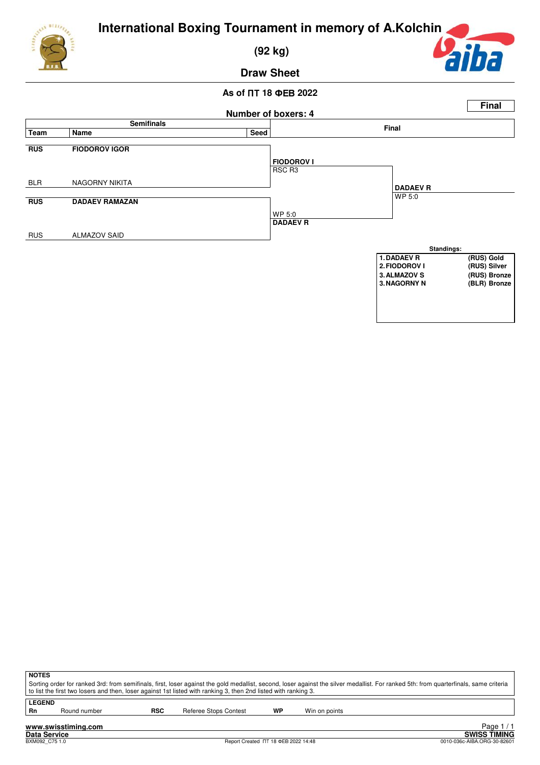

 **(92 kg)**



**Draw Sheet**



| <b>NOTES</b>        | Sorting order for ranked 3rd: from semifinals, first, loser against the gold medallist, second, loser against the silver medallist. For ranked 5th: from quarterfinals, same criteria<br>to list the first two losers and then, loser against 1st listed with ranking 3, then 2nd listed with ranking 3. |            |                       |    |               |  |  |  |  |  |
|---------------------|----------------------------------------------------------------------------------------------------------------------------------------------------------------------------------------------------------------------------------------------------------------------------------------------------------|------------|-----------------------|----|---------------|--|--|--|--|--|
| <b>LEGEND</b><br>Rn | Round number                                                                                                                                                                                                                                                                                             | <b>RSC</b> | Referee Stops Contest | WP | Win on points |  |  |  |  |  |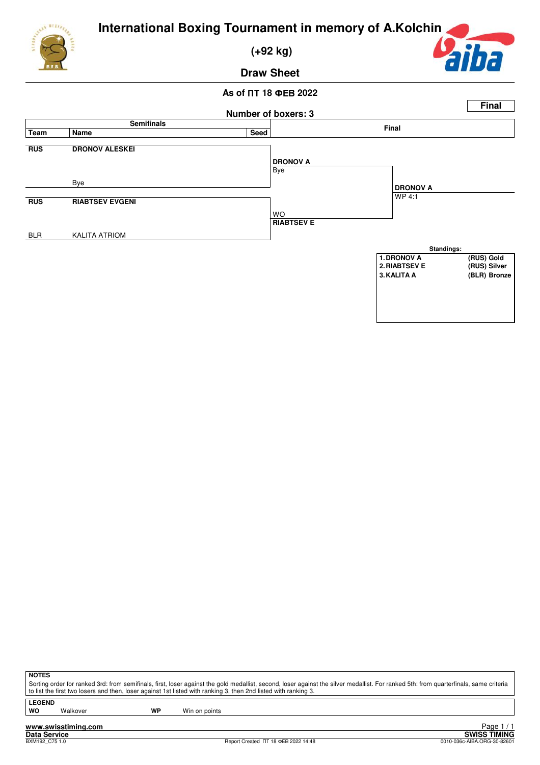

 **(+92 kg)**



**Draw Sheet**

## $\overline{AB}$  of ПТ 18 ФЕВ 2022



**NOTES**

Sorting order for ranked 3rd: from semifinals, first, loser against the gold medallist, second, loser against the silver medallist. For ranked 5th: from quarterfinals, same criteria to list the first two losers and then, loser against 1st listed with ranking 3, then 2nd listed with ranking 3.

**LEGEND**

Walkover **WP** Win on points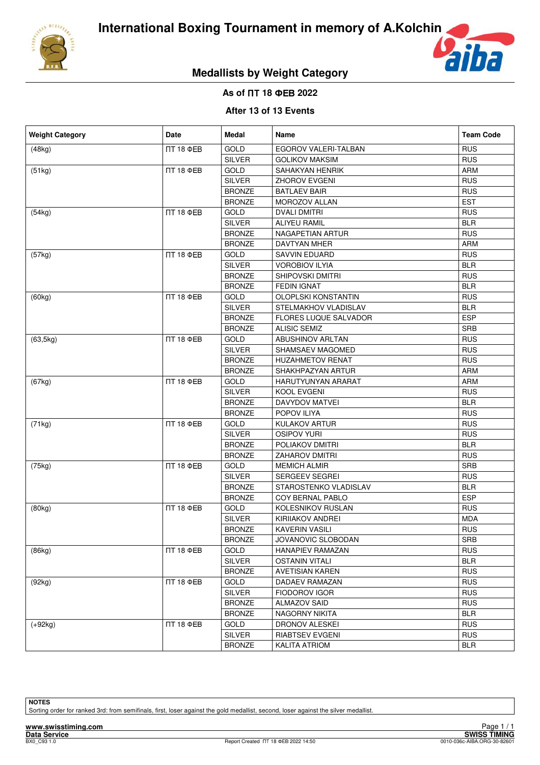



# **Medallists by Weight Category**

## $\overline{AB}$  of ПТ 18 ФЕВ 2022

## **After 13 of 13 Events**

| <b>Weight Category</b> | <b>Date</b>      | Medal         | Name                         | <b>Team Code</b> |
|------------------------|------------------|---------------|------------------------------|------------------|
| (48kg)                 | <b>IT 18 ΦEB</b> | <b>GOLD</b>   | EGOROV VALERI-TALBAN         | <b>RUS</b>       |
|                        |                  | <b>SILVER</b> | <b>GOLIKOV MAKSIM</b>        | <b>RUS</b>       |
| (51kg)                 | <b>NT 18 ФEB</b> | <b>GOLD</b>   | SAHAKYAN HENRIK              | ARM              |
|                        |                  | <b>SILVER</b> | <b>ZHOROV EVGENI</b>         | <b>RUS</b>       |
|                        |                  | <b>BRONZE</b> | <b>BATLAEV BAIR</b>          | <b>RUS</b>       |
|                        |                  | <b>BRONZE</b> | MOROZOV ALLAN                | <b>EST</b>       |
| (54kg)                 | <b>NT 18 ФEB</b> | <b>GOLD</b>   | <b>DVALI DMITRI</b>          | <b>RUS</b>       |
|                        |                  | <b>SILVER</b> | <b>ALIYEU RAMIL</b>          | <b>BLR</b>       |
|                        |                  | <b>BRONZE</b> | NAGAPETIAN ARTUR             | <b>RUS</b>       |
|                        |                  | <b>BRONZE</b> | <b>DAVTYAN MHER</b>          | ARM              |
| (57kg)                 | <b>NT 18 ФЕВ</b> | <b>GOLD</b>   | SAVVIN EDUARD                | <b>RUS</b>       |
|                        |                  | <b>SILVER</b> | VOROBIOV ILYIA               | <b>BLR</b>       |
|                        |                  | <b>BRONZE</b> | SHIPOVSKI DMITRI             | <b>RUS</b>       |
|                        |                  | <b>BRONZE</b> | FEDIN IGNAT                  | <b>BLR</b>       |
| (60kg)                 | <b>NT 18 ФEB</b> | GOLD          | <b>OLOPLSKI KONSTANTIN</b>   | <b>RUS</b>       |
|                        |                  | <b>SILVER</b> | STELMAKHOV VLADISLAV         | <b>BLR</b>       |
|                        |                  | <b>BRONZE</b> | <b>FLORES LUQUE SALVADOR</b> | <b>ESP</b>       |
|                        |                  | <b>BRONZE</b> | <b>ALISIC SEMIZ</b>          | <b>SRB</b>       |
| (63, 5kg)              | <b>NT 18 ФEB</b> | <b>GOLD</b>   | <b>ABUSHINOV ARLTAN</b>      | <b>RUS</b>       |
|                        |                  | <b>SILVER</b> | SHAMSAEV MAGOMED             | <b>RUS</b>       |
|                        |                  | <b>BRONZE</b> | <b>HUZAHMETOV RENAT</b>      | <b>RUS</b>       |
|                        |                  | <b>BRONZE</b> | SHAKHPAZYAN ARTUR            | <b>ARM</b>       |
| (67kg)                 | <b>NT 18 ФEB</b> | <b>GOLD</b>   | HARUTYUNYAN ARARAT           | <b>ARM</b>       |
|                        |                  | <b>SILVER</b> | KOOL EVGENI                  | <b>RUS</b>       |
|                        |                  | <b>BRONZE</b> | DAVYDOV MATVEI               | <b>BLR</b>       |
|                        |                  | <b>BRONZE</b> | POPOV ILIYA                  | <b>RUS</b>       |
| (71kg)                 | <b>NT 18 ФЕВ</b> | <b>GOLD</b>   | KULAKOV ARTUR                | <b>RUS</b>       |
|                        |                  | <b>SILVER</b> | <b>OSIPOV YURI</b>           | <b>RUS</b>       |
|                        |                  | <b>BRONZE</b> | POLIAKOV DMITRI              | <b>BLR</b>       |
|                        |                  | <b>BRONZE</b> | <b>ZAHAROV DMITRI</b>        | <b>RUS</b>       |
| (75kg)                 | <b>NT 18 ФEB</b> | GOLD          | <b>MEMICH ALMIR</b>          | <b>SRB</b>       |
|                        |                  | <b>SILVER</b> | SERGEEV SEGREI               | <b>RUS</b>       |
|                        |                  | <b>BRONZE</b> | STAROSTENKO VLADISLAV        | <b>BLR</b>       |
|                        |                  | <b>BRONZE</b> | COY BERNAL PABLO             | <b>ESP</b>       |
| (80kg)                 | <b>NT 18 ФEB</b> | <b>GOLD</b>   | KOLESNIKOV RUSLAN            | <b>RUS</b>       |
|                        |                  | <b>SILVER</b> | KIRIIAKOV ANDREI             | <b>MDA</b>       |
|                        |                  | <b>BRONZE</b> | KAVERIN VASILI               | <b>RUS</b>       |
|                        |                  | <b>BRONZE</b> | JOVANOVIC SLOBODAN           | <b>SRB</b>       |
| (86kg)                 | <b>IT 18 ΦEB</b> | GOLD          | HANAPIEV RAMAZAN             | <b>RUS</b>       |
|                        |                  | <b>SILVER</b> | <b>OSTANIN VITALI</b>        | <b>BLR</b>       |
|                        |                  | <b>BRONZE</b> | <b>AVETISIAN KAREN</b>       | <b>RUS</b>       |
| (92kg)                 | <b>NT 18 ФЕВ</b> | <b>GOLD</b>   | DADAEV RAMAZAN               | <b>RUS</b>       |
|                        |                  | <b>SILVER</b> | <b>FIODOROV IGOR</b>         | <b>RUS</b>       |
|                        |                  | <b>BRONZE</b> | ALMAZOV SAID                 | <b>RUS</b>       |
|                        |                  | <b>BRONZE</b> | NAGORNY NIKITA               | BLR              |
| $(+92kg)$              | <b>IT 18 ΦEB</b> | GOLD          | DRONOV ALESKEI               | <b>RUS</b>       |
|                        |                  | SILVER        | RIABTSEV EVGENI              | <b>RUS</b>       |
|                        |                  | <b>BRONZE</b> | <b>KALITA ATRIOM</b>         | <b>BLR</b>       |

**NOTES**

Sorting order for ranked 3rd: from semifinals, first, loser against the gold medallist, second, loser against the silver medallist.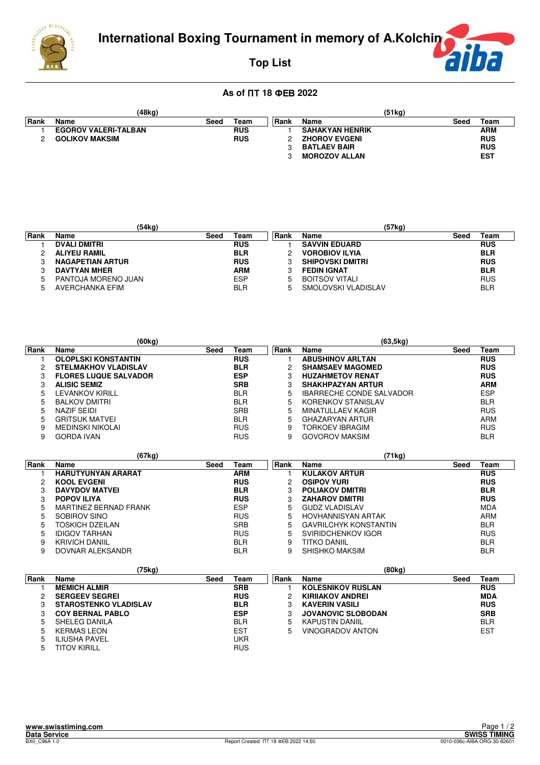



# **Top List**

|             | (48kg)                      |      |            | (51kg) |                        |      |            |  |
|-------------|-----------------------------|------|------------|--------|------------------------|------|------------|--|
| <b>Rank</b> | Name                        | Seed | Team       | ∣Rank  | Name                   | Seed | Team       |  |
|             | <b>EGOROV VALERI-TALBAN</b> |      | <b>RUS</b> |        | <b>SAHAKYAN HENRIK</b> |      | ARM        |  |
| C           | <b>GOLIKOV MAKSIM</b>       |      | <b>RUS</b> |        | <b>ZHOROV EVGENI</b>   |      | <b>RUS</b> |  |
|             |                             |      |            |        | <b>BATLAEV BAIR</b>    |      | <b>RUS</b> |  |
|             |                             |      |            |        | <b>MOROZOV ALLAN</b>   |      | <b>EST</b> |  |

|             | (54kg)                  |      |            |      | (57kg)                  |      |            |
|-------------|-------------------------|------|------------|------|-------------------------|------|------------|
| <b>Rank</b> | <b>Name</b>             | Seed | Team       | Rank | Name                    | Seed | Team       |
|             | <b>DVALI DMITRI</b>     |      | <b>RUS</b> |      | <b>SAVVIN EDUARD</b>    |      | <b>RUS</b> |
|             | <b>ALIYEU RAMIL</b>     |      | <b>BLR</b> |      | <b>VOROBIOV ILYIA</b>   |      | <b>BLR</b> |
|             | <b>NAGAPETIAN ARTUR</b> |      | <b>RUS</b> |      | <b>SHIPOVSKI DMITRI</b> |      | <b>RUS</b> |
|             | <b>DAVTYAN MHER</b>     |      | <b>ARM</b> | 3    | <b>FEDIN IGNAT</b>      |      | <b>BLR</b> |
| 5           | PANTOJA MORENO JUAN     |      | <b>ESP</b> | 5    | <b>BOITSOV VITALI</b>   |      | <b>RUS</b> |
|             | AVERCHANKA EFIM         |      | <b>BLR</b> | 5    | SMOLOVSKI VLADISLAV     |      | <b>BLR</b> |

|      | (60kg)                       |      |            |             | (63, 5kg)                       |      |            |
|------|------------------------------|------|------------|-------------|---------------------------------|------|------------|
| Rank | Name                         | Seed | Team       | <b>Rank</b> | Name                            | Seed | Team       |
|      | <b>OLOPLSKI KONSTANTIN</b>   |      | <b>RUS</b> |             | <b>ABUSHINOV ARLTAN</b>         |      | <b>RUS</b> |
|      | <b>STELMAKHOV VLADISLAV</b>  |      | <b>BLR</b> |             | <b>SHAMSAEV MAGOMED</b>         |      | <b>RUS</b> |
|      | <b>FLORES LUQUE SALVADOR</b> |      | <b>ESP</b> |             | <b>HUZAHMETOV RENAT</b>         |      | <b>RUS</b> |
|      | <b>ALISIC SEMIZ</b>          |      | <b>SRB</b> |             | <b>SHAKHPAZYAN ARTUR</b>        |      | <b>ARM</b> |
|      | LEVANKOV KIRILL              |      | <b>BLR</b> | 5           | <b>IBARRECHE CONDE SALVADOR</b> |      | <b>ESP</b> |
| 5.   | <b>BALKOV DMITRI</b>         |      | <b>BLR</b> | 5           | KORENKOV STANISLAV              |      | <b>BLR</b> |
| 5    | NAZIF SEIDI                  |      | <b>SRB</b> | 5           | <b>MINATULLAEV KAGIR</b>        |      | <b>RUS</b> |
| 5.   | <b>GRITSUK MATVEI</b>        |      | <b>BLR</b> | 5           | <b>GHAZARYAN ARTUR</b>          |      | ARM        |
| 9    | MEDINSKI NIKOLAI             |      | <b>RUS</b> | 9           | TORKOEV IBRAGIM                 |      | <b>RUS</b> |
| 9    | <b>GORDA IVAN</b>            |      | <b>RUS</b> | 9           | <b>GOVOROV MAKSIM</b>           |      | <b>BLR</b> |

|      | (67kg)                    |      |            |      | (71kg)                       |      |            |
|------|---------------------------|------|------------|------|------------------------------|------|------------|
| Rank | <b>Name</b>               | Seed | Team       | Rank | <b>Name</b>                  | Seed | Team       |
|      | <b>HARUTYUNYAN ARARAT</b> |      | <b>ARM</b> |      | <b>KULAKOV ARTUR</b>         |      | <b>RUS</b> |
| 2    | <b>KOOL EVGENI</b>        |      | <b>RUS</b> | 2    | <b>OSIPOV YURI</b>           |      | <b>RUS</b> |
| 3    | <b>DAVYDOV MATVEL</b>     |      | <b>BLR</b> | 3    | <b>POLIAKOV DMITRI</b>       |      | <b>BLR</b> |
| 3    | <b>POPOV ILIYA</b>        |      | <b>RUS</b> |      | <b>ZAHAROV DMITRI</b>        |      | <b>RUS</b> |
| 5    | MARTINEZ BERNAD FRANK     |      | <b>ESP</b> | 5    | <b>GUDZ VLADISLAV</b>        |      | <b>MDA</b> |
| 5    | SOBIROV SINO              |      | <b>RUS</b> | 5    | HOVHANNISYAN ARTAK           |      | ARM        |
| 5    | TOSKICH DZEILAN           |      | <b>SRB</b> | 5    | <b>GAVRILCHYK KONSTANTIN</b> |      | <b>BLR</b> |
| 5    | IDIGOV TARHAN             |      | <b>RUS</b> | 5    | SVIRIDCHENKOV IGOR           |      | <b>RUS</b> |
| 9    | KRIVICH DANIIL            |      | <b>BLR</b> | 9    | TITKO DANIIL                 |      | <b>BLR</b> |
| 9    | DOVNAR ALEKSANDR          |      | <b>BLR</b> | 9    | SHISHKO MAKSIM               |      | <b>BLR</b> |

|      | (75kg)                       |      |            |             | (80kg)                    |      |            |
|------|------------------------------|------|------------|-------------|---------------------------|------|------------|
| Rank | Name                         | Seed | Team       | Rank        | Name                      | Seed | Team       |
|      | <b>MEMICH ALMIR</b>          |      | <b>SRB</b> |             | <b>KOLESNIKOV RUSLAN</b>  |      | <b>RUS</b> |
|      | <b>SERGEEV SEGREI</b>        |      | <b>RUS</b> |             | <b>KIRIIAKOV ANDREI</b>   |      | <b>MDA</b> |
| 3    | <b>STAROSTENKO VLADISLAV</b> |      | <b>BLR</b> |             | <b>KAVERIN VASILI</b>     |      | <b>RUS</b> |
| 3    | <b>COY BERNAL PABLO</b>      |      | <b>ESP</b> | 3           | <b>JOVANOVIC SLOBODAN</b> |      | <b>SRB</b> |
| 5    | SHELEG DANILA                |      | <b>BLR</b> | $\mathbf b$ | <b>KAPUSTIN DANIIL</b>    |      | <b>BLR</b> |
| 5    | <b>KERMAS LEON</b>           |      | <b>EST</b> | 5           | VINOGRADOV ANTON          |      | <b>EST</b> |
| 5    | <b>ILIUSHA PAVEL</b>         |      | UKR        |             |                           |      |            |
| 5    | TITOV KIRILL                 |      | <b>RUS</b> |             |                           |      |            |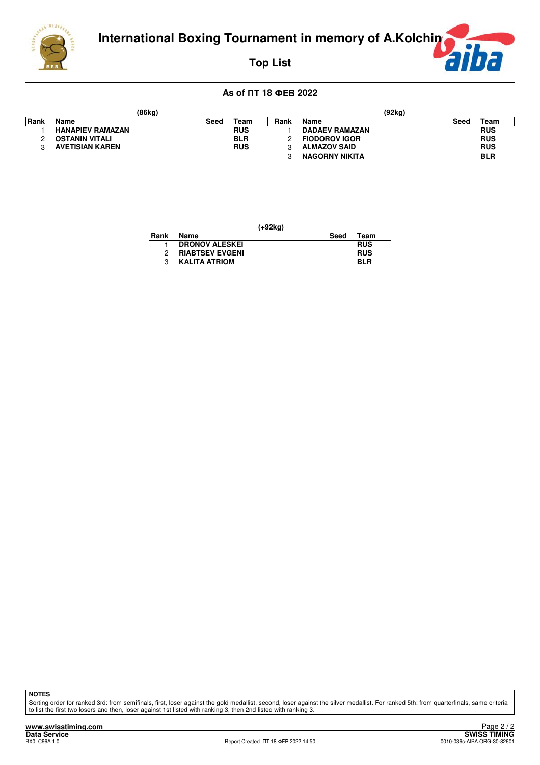



**Top List**

## $\overline{AB}$  of ПТ 18 ФЕВ 2022

|             |                         | (86kg) |            |       |                       | (92kg) |            |
|-------------|-------------------------|--------|------------|-------|-----------------------|--------|------------|
| <b>Rank</b> | Name                    | Seed   | Team       | ∣Rank | Name                  | Seed   | Team       |
|             | <b>HANAPIEV RAMAZAN</b> |        | <b>RUS</b> |       | <b>DADAEV RAMAZAN</b> |        | <b>RUS</b> |
|             | <b>OSTANIN VITALI</b>   |        | <b>BLR</b> |       | <b>FIODOROV IGOR</b>  |        | <b>RUS</b> |
|             | AVETISIAN KAREN         |        | <b>RUS</b> |       | <b>ALMAZOV SAID</b>   |        | <b>RUS</b> |
|             |                         |        |            |       | <b>NAGORNY NIKITA</b> |        | <b>BLR</b> |

|      |                        | (+92kg) |             |
|------|------------------------|---------|-------------|
| Rank | Name                   | Seed    | <b>Team</b> |
|      | <b>DRONOV ALESKEI</b>  |         | <b>RUS</b>  |
|      | <b>RIABTSEV EVGENI</b> |         | <b>RUS</b>  |
|      | <b>KALITA ATRIOM</b>   |         | <b>BLR</b>  |

**NOTES**

Sorting order for ranked 3rd: from semifinals, first, loser against the gold medallist, second, loser against the silver medallist. For ranked 5th: from quarterfinals, same criteria<br>to list the first two losers and then, l

**www.swisstiming.com Data Service SWISS TIMING**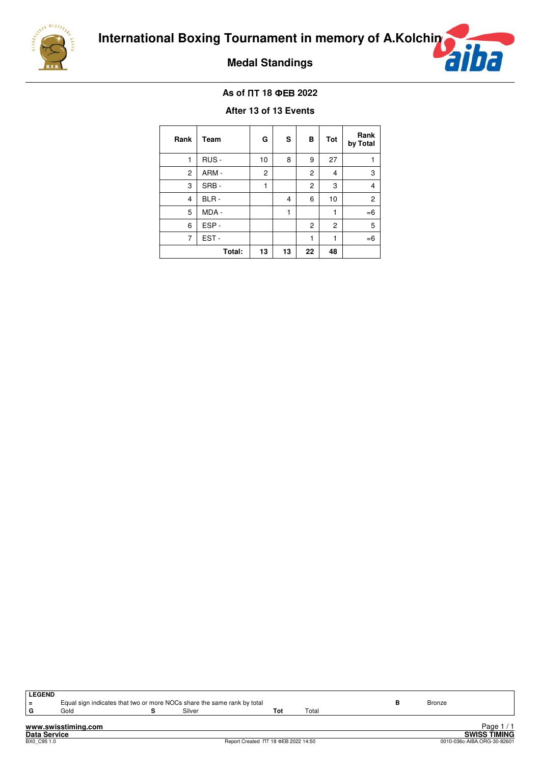





## $\overline{AB}$  of ПТ 18 ФЕВ 2022

### **After 13 of 13 Events**

| Rank           | Team   | G              | s  | в              | Tot | Rank<br>by Total |
|----------------|--------|----------------|----|----------------|-----|------------------|
| 1              | RUS -  | 10             | 8  | 9              | 27  | 1                |
| $\overline{c}$ | ARM-   | $\overline{c}$ |    | $\overline{c}$ | 4   | 3                |
| 3              | SRB-   | 1              |    | $\overline{c}$ | 3   | $\overline{4}$   |
| $\overline{4}$ | BLR-   |                | 4  | 6              | 10  | $\overline{c}$   |
| 5              | MDA -  |                | 1  |                | 1   | $=6$             |
| 6              | ESP-   |                |    | $\overline{c}$ | 2   | 5                |
| 7              | EST-   |                |    | 1              | 1   | $=6$             |
|                | Total: | 13             | 13 | 22             | 48  |                  |

| <b>LEGEND</b>       |                     |                                                                         |                                     |       |        |                             |
|---------------------|---------------------|-------------------------------------------------------------------------|-------------------------------------|-------|--------|-----------------------------|
| $\equiv$            |                     | Equal sign indicates that two or more NOCs share the same rank by total |                                     |       | Bronze |                             |
| G                   | Gold                | Silver                                                                  | Tot                                 | Total |        |                             |
|                     |                     |                                                                         |                                     |       |        |                             |
|                     | www.swisstiming.com |                                                                         |                                     |       |        | Page $1/1$                  |
| <b>Data Service</b> |                     |                                                                         |                                     |       |        | <b>SWISS TIMING</b>         |
| BX0 C95 1.0         |                     |                                                                         | Report Created TT 18 ΦEB 2022 14:50 |       |        | 0010-036c-AIBA.ORG-30-82601 |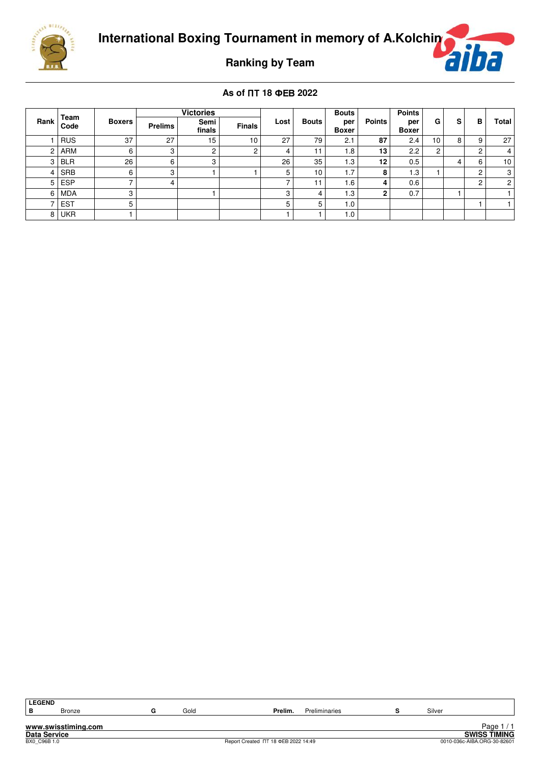

**Ranking by Team**

|                | Team       |               |                | <b>Victories</b> |               |      |              | <b>Bouts</b>        |               | <b>Points</b>       |    |   |   |                 |
|----------------|------------|---------------|----------------|------------------|---------------|------|--------------|---------------------|---------------|---------------------|----|---|---|-----------------|
| Rank           | Code       | <b>Boxers</b> | <b>Prelims</b> | Semi<br>finals   | <b>Finals</b> | Lost | <b>Bouts</b> | per<br><b>Boxer</b> | <b>Points</b> | per<br><b>Boxer</b> | G  | s | в | Total           |
|                | <b>RUS</b> | 37            | 27             | 15               | 10            | 27   | 79           | 2.1                 | 87            | 2.4                 | 10 | 8 | 9 | 27              |
| 2              | <b>ARM</b> | 6             | 3              | 2                |               | 4    |              | .8                  | 13            | 2.2                 | ◠  |   | ົ | 4               |
| 3              | <b>BLR</b> | 26            | 6              | 3                |               | 26   | 35           | 1.3                 | 12            | 0.5                 |    | 4 | 6 | 10 <sup>1</sup> |
| 4              | <b>SRB</b> | 6             | 3              |                  |               | 5    | 10           | 1.7                 | 8             | 1.3                 |    |   | c | 3               |
| 5 <sup>1</sup> | <b>ESP</b> | -             | 4              |                  |               |      |              | .6                  |               | 0.6                 |    |   | ົ | $\overline{2}$  |
| 6              | <b>MDA</b> | 3             |                |                  |               | 3    | 4            | 1.3                 | c             | 0.7                 |    |   |   |                 |
|                | <b>EST</b> | 5             |                |                  |               | 5    | 5            | 0.1                 |               |                     |    |   |   |                 |
| 8              | <b>UKR</b> |               |                |                  |               |      |              | 1.0                 |               |                     |    |   |   |                 |

| <b>LEGEND</b> |                     |      |                                     |               |        |                             |
|---------------|---------------------|------|-------------------------------------|---------------|--------|-----------------------------|
| B             | <b>Bronze</b>       | Gold | Prelim.                             | Preliminaries | Silver |                             |
|               | www.swisstiming.com |      |                                     |               |        | Page $1/1$                  |
|               | Data Service        |      |                                     |               |        | <b>SWISS TIMING</b>         |
| BX0 C96B 1.0  |                     |      | Report Created NT 18 ΦEB 2022 14:49 |               |        | 0010-036c-AIBA.ORG-30-82601 |